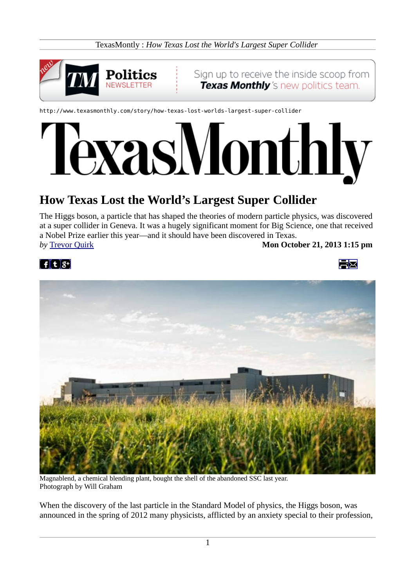TexasMontly : *How Texas Lost the World's Largest Super Collider*



http://www.texasmonthly.com/story/how-texas-lost-worlds-largest-super-collider

# xasMonthly

# **How Texas Lost the World's Largest Super Collider**

The Higgs boson, a particle that has shaped the theories of modern particle physics, was discovered at a super collider in Geneva. It was a hugely significant moment for Big Science, one that received a Nobel Prize earlier this year—and it should have been discovered in Texas. *by* **[Trevor Quirk](http://www.texasmonthly.com/contributor/trevor-quirk) <b>Mon October 21, 2013 1:15 pm** 

FX





Magnablend, a chemical blending plant, bought the shell of the abandoned SSC last year. Photograph by Will Graham

When the discovery of the last particle in the Standard Model of physics, the Higgs boson, was announced in the spring of 2012 many physicists, afflicted by an anxiety special to their profession,

1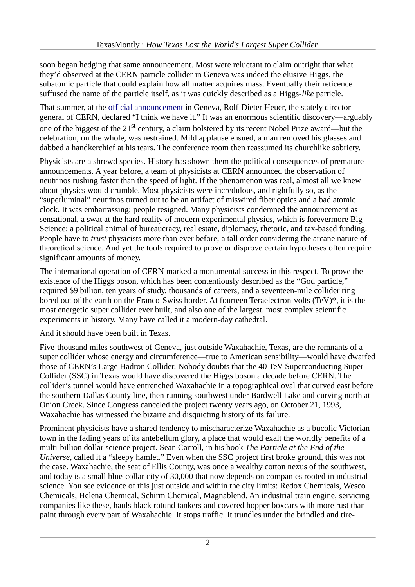soon began hedging that same announcement. Most were reluctant to claim outright that what they'd observed at the CERN particle collider in Geneva was indeed the elusive Higgs, the subatomic particle that could explain how all matter acquires mass. Eventually their reticence suffused the name of the particle itself, as it was quickly described as a Higgs-*like* particle.

That summer, at the [official announcement](http://www.nytimes.com/2012/07/05/science/cern-physicists-may-have-discovered-higgs-boson-particle.html?_r=1&hp&pagewanted=print) in Geneva, Rolf-Dieter Heuer, the stately director general of CERN, declared "I think we have it." It was an enormous scientific discovery—arguably one of the biggest of the 21<sup>st</sup> century, a claim bolstered by its recent Nobel Prize award—but the celebration, on the whole, was restrained. Mild applause ensued, a man removed his glasses and dabbed a handkerchief at his tears. The conference room then reassumed its churchlike sobriety.

Physicists are a shrewd species. History has shown them the political consequences of premature announcements. A year before, a team of physicists at CERN announced the observation of neutrinos rushing faster than the speed of light. If the phenomenon was real, almost all we knew about physics would crumble. Most physicists were incredulous, and rightfully so, as the "superluminal" neutrinos turned out to be an artifact of miswired fiber optics and a bad atomic clock. It was embarrassing; people resigned. Many physicists condemned the announcement as sensational, a swat at the hard reality of modern experimental physics, which is forevermore Big Science: a political animal of bureaucracy, real estate, diplomacy, rhetoric, and tax-based funding. People have to *trust* physicists more than ever before, a tall order considering the arcane nature of theoretical science. And yet the tools required to prove or disprove certain hypotheses often require significant amounts of money.

The international operation of CERN marked a monumental success in this respect. To prove the existence of the Higgs boson, which has been contentiously described as the "God particle," required \$9 billion, ten years of study, thousands of careers, and a seventeen-mile collider ring bored out of the earth on the Franco-Swiss border. At fourteen Teraelectron-volts (TeV)\*, it is the most energetic super collider ever built, and also one of the largest, most complex scientific experiments in history. Many have called it a modern-day cathedral.

And it should have been built in Texas.

Five-thousand miles southwest of Geneva, just outside Waxahachie, Texas, are the remnants of a super collider whose energy and circumference—true to American sensibility—would have dwarfed those of CERN's Large Hadron Collider. Nobody doubts that the 40 TeV Superconducting Super Collider (SSC) in Texas would have discovered the Higgs boson a decade before CERN. The collider's tunnel would have entrenched Waxahachie in a topographical oval that curved east before the southern Dallas County line, then running southwest under Bardwell Lake and curving north at Onion Creek. Since Congress canceled the project twenty years ago, on October 21, 1993, Waxahachie has witnessed the bizarre and disquieting history of its failure.

Prominent physicists have a shared tendency to mischaracterize Waxahachie as a bucolic Victorian town in the fading years of its antebellum glory, a place that would exalt the worldly benefits of a multi-billion dollar science project. Sean Carroll, in his book *The Particle at the End of the Universe*, called it a "sleepy hamlet." Even when the SSC project first broke ground, this was not the case. Waxahachie, the seat of Ellis County, was once a wealthy cotton nexus of the southwest, and today is a small blue-collar city of 30,000 that now depends on companies rooted in industrial science. You see evidence of this just outside and within the city limits: Redox Chemicals, Wesco Chemicals, Helena Chemical, Schirm Chemical, Magnablend. An industrial train engine, servicing companies like these, hauls black rotund tankers and covered hopper boxcars with more rust than paint through every part of Waxahachie. It stops traffic. It trundles under the brindled and tire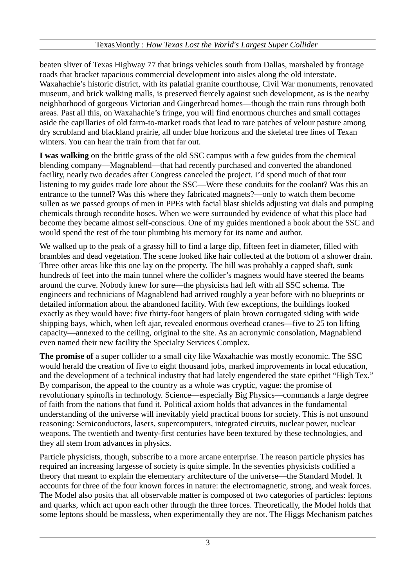beaten sliver of Texas Highway 77 that brings vehicles south from Dallas, marshaled by frontage roads that bracket rapacious commercial development into aisles along the old interstate. Waxahachie's historic district, with its palatial granite courthouse, Civil War monuments, renovated museum, and brick walking malls, is preserved fiercely against such development, as is the nearby neighborhood of gorgeous Victorian and Gingerbread homes—though the train runs through both areas. Past all this, on Waxahachie's fringe, you will find enormous churches and small cottages aside the capillaries of old farm-to-market roads that lead to rare patches of velour pasture among dry scrubland and blackland prairie, all under blue horizons and the skeletal tree lines of Texan winters. You can hear the train from that far out.

**I was walking** on the brittle grass of the old SSC campus with a few guides from the chemical blending company—Magnablend—that had recently purchased and converted the abandoned facility, nearly two decades after Congress canceled the project. I'd spend much of that tour listening to my guides trade lore about the SSC—Were these conduits for the coolant? Was this an entrance to the tunnel? Was this where they fabricated magnets?—only to watch them become sullen as we passed groups of men in PPEs with facial blast shields adjusting vat dials and pumping chemicals through recondite hoses. When we were surrounded by evidence of what this place had become they became almost self-conscious. One of my guides mentioned a book about the SSC and would spend the rest of the tour plumbing his memory for its name and author.

We walked up to the peak of a grassy hill to find a large dip, fifteen feet in diameter, filled with brambles and dead vegetation. The scene looked like hair collected at the bottom of a shower drain. Three other areas like this one lay on the property. The hill was probably a capped shaft, sunk hundreds of feet into the main tunnel where the collider's magnets would have steered the beams around the curve. Nobody knew for sure—the physicists had left with all SSC schema. The engineers and technicians of Magnablend had arrived roughly a year before with no blueprints or detailed information about the abandoned facility. With few exceptions, the buildings looked exactly as they would have: five thirty-foot hangers of plain brown corrugated siding with wide shipping bays, which, when left ajar, revealed enormous overhead cranes—five to 25 ton lifting capacity—annexed to the ceiling, original to the site. As an acronymic consolation, Magnablend even named their new facility the Specialty Services Complex.

**The promise of** a super collider to a small city like Waxahachie was mostly economic. The SSC would herald the creation of five to eight thousand jobs, marked improvements in local education, and the development of a technical industry that had lately engendered the state epithet "High Tex." By comparison, the appeal to the country as a whole was cryptic, vague: the promise of revolutionary spinoffs in technology. Science—especially Big Physics—commands a large degree of faith from the nations that fund it. Political axiom holds that advances in the fundamental understanding of the universe will inevitably yield practical boons for society. This is not unsound reasoning: Semiconductors, lasers, supercomputers, integrated circuits, nuclear power, nuclear weapons. The twentieth and twenty-first centuries have been textured by these technologies, and they all stem from advances in physics.

Particle physicists, though, subscribe to a more arcane enterprise. The reason particle physics has required an increasing largesse of society is quite simple. In the seventies physicists codified a theory that meant to explain the elementary architecture of the universe—the Standard Model. It accounts for three of the four known forces in nature: the electromagnetic, strong, and weak forces. The Model also posits that all observable matter is composed of two categories of particles: leptons and quarks, which act upon each other through the three forces. Theoretically, the Model holds that some leptons should be massless, when experimentally they are not. The Higgs Mechanism patches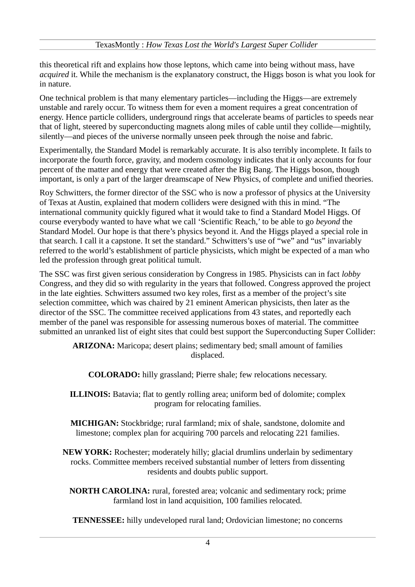this theoretical rift and explains how those leptons, which came into being without mass, have *acquired* it. While the mechanism is the explanatory construct, the Higgs boson is what you look for in nature.

One technical problem is that many elementary particles—including the Higgs—are extremely unstable and rarely occur. To witness them for even a moment requires a great concentration of energy. Hence particle colliders, underground rings that accelerate beams of particles to speeds near that of light, steered by superconducting magnets along miles of cable until they collide—mightily, silently—and pieces of the universe normally unseen peek through the noise and fabric.

Experimentally, the Standard Model is remarkably accurate. It is also terribly incomplete. It fails to incorporate the fourth force, gravity, and modern cosmology indicates that it only accounts for four percent of the matter and energy that were created after the Big Bang. The Higgs boson, though important, is only a part of the larger dreamscape of New Physics, of complete and unified theories.

Roy Schwitters, the former director of the SSC who is now a professor of physics at the University of Texas at Austin, explained that modern colliders were designed with this in mind. "The international community quickly figured what it would take to find a Standard Model Higgs. Of course everybody wanted to have what we call 'Scientific Reach,' to be able to go *beyond* the Standard Model. Our hope is that there's physics beyond it. And the Higgs played a special role in that search. I call it a capstone. It set the standard." Schwitters's use of "we" and "us" invariably referred to the world's establishment of particle physicists, which might be expected of a man who led the profession through great political tumult.

The SSC was first given serious consideration by Congress in 1985. Physicists can in fact *lobby* Congress, and they did so with regularity in the years that followed. Congress approved the project in the late eighties. Schwitters assumed two key roles, first as a member of the project's site selection committee, which was chaired by 21 eminent American physicists, then later as the director of the SSC. The committee received applications from 43 states, and reportedly each member of the panel was responsible for assessing numerous boxes of material. The committee submitted an unranked list of eight sites that could best support the Superconducting Super Collider:

**ARIZONA:** Maricopa; desert plains; sedimentary bed; small amount of families displaced.

**COLORADO:** hilly grassland; Pierre shale; few relocations necessary.

**ILLINOIS:** Batavia; flat to gently rolling area; uniform bed of dolomite; complex program for relocating families.

**MICHIGAN:** Stockbridge; rural farmland; mix of shale, sandstone, dolomite and limestone; complex plan for acquiring 700 parcels and relocating 221 families.

**NEW YORK:** Rochester; moderately hilly; glacial drumlins underlain by sedimentary rocks. Committee members received substantial number of letters from dissenting residents and doubts public support.

**NORTH CAROLINA:** rural, forested area; volcanic and sedimentary rock; prime farmland lost in land acquisition, 100 families relocated.

**TENNESSEE:** hilly undeveloped rural land; Ordovician limestone; no concerns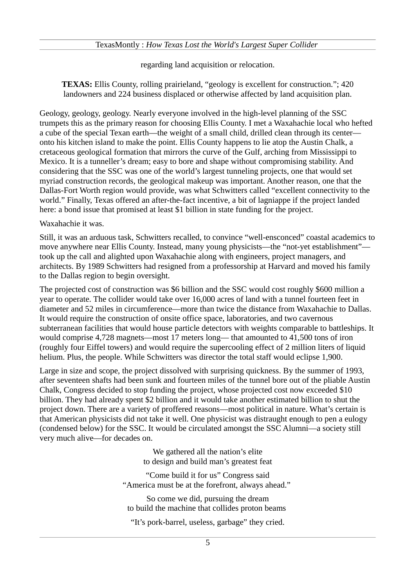#### TexasMontly : *How Texas Lost the World's Largest Super Collider*

regarding land acquisition or relocation.

**TEXAS:** Ellis County, rolling prairieland, "geology is excellent for construction."; 420 landowners and 224 business displaced or otherwise affected by land acquisition plan.

Geology, geology, geology. Nearly everyone involved in the high-level planning of the SSC trumpets this as the primary reason for choosing Ellis County. I met a Waxahachie local who hefted a cube of the special Texan earth—the weight of a small child, drilled clean through its center onto his kitchen island to make the point. Ellis County happens to lie atop the Austin Chalk, a cretaceous geological formation that mirrors the curve of the Gulf, arching from Mississippi to Mexico. It is a tunneller's dream; easy to bore and shape without compromising stability. And considering that the SSC was one of the world's largest tunneling projects, one that would set myriad construction records, the geological makeup was important. Another reason, one that the Dallas-Fort Worth region would provide, was what Schwitters called "excellent connectivity to the world." Finally, Texas offered an after-the-fact incentive, a bit of lagniappe if the project landed here: a bond issue that promised at least \$1 billion in state funding for the project.

#### Waxahachie it was.

Still, it was an arduous task, Schwitters recalled, to convince "well-ensconced" coastal academics to move anywhere near Ellis County. Instead, many young physicists—the "not-yet establishment" took up the call and alighted upon Waxahachie along with engineers, project managers, and architects. By 1989 Schwitters had resigned from a professorship at Harvard and moved his family to the Dallas region to begin oversight.

The projected cost of construction was \$6 billion and the SSC would cost roughly \$600 million a year to operate. The collider would take over 16,000 acres of land with a tunnel fourteen feet in diameter and 52 miles in circumference—more than twice the distance from Waxahachie to Dallas. It would require the construction of onsite office space, laboratories, and two cavernous subterranean facilities that would house particle detectors with weights comparable to battleships. It would comprise 4,728 magnets—most 17 meters long— that amounted to 41,500 tons of iron (roughly four Eiffel towers) and would require the supercooling effect of 2 million liters of liquid helium. Plus, the people. While Schwitters was director the total staff would eclipse 1,900.

Large in size and scope, the project dissolved with surprising quickness. By the summer of 1993, after seventeen shafts had been sunk and fourteen miles of the tunnel bore out of the pliable Austin Chalk, Congress decided to stop funding the project, whose projected cost now exceeded \$10 billion. They had already spent \$2 billion and it would take another estimated billion to shut the project down. There are a variety of proffered reasons—most political in nature. What's certain is that American physicists did not take it well. One physicist was distraught enough to pen a eulogy (condensed below) for the SSC. It would be circulated amongst the SSC Alumni—a society still very much alive—for decades on.

> We gathered all the nation's elite to design and build man's greatest feat

"Come build it for us" Congress said "America must be at the forefront, always ahead."

So come we did, pursuing the dream to build the machine that collides proton beams

"It's pork-barrel, useless, garbage" they cried.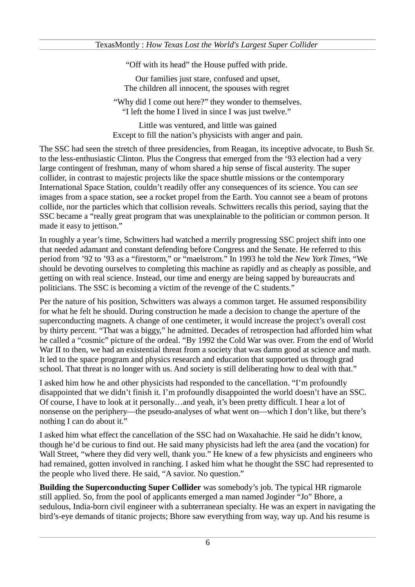"Off with its head" the House puffed with pride.

Our families just stare, confused and upset, The children all innocent, the spouses with regret

"Why did I come out here?" they wonder to themselves. "I left the home I lived in since I was just twelve."

Little was ventured, and little was gained Except to fill the nation's physicists with anger and pain.

The SSC had seen the stretch of three presidencies, from Reagan, its inceptive advocate, to Bush Sr. to the less-enthusiastic Clinton. Plus the Congress that emerged from the '93 election had a very large contingent of freshman, many of whom shared a hip sense of fiscal austerity. The super collider, in contrast to majestic projects like the space shuttle missions or the contemporary International Space Station, couldn't readily offer any consequences of its science. You can *see* images from a space station, see a rocket propel from the Earth. You cannot see a beam of protons collide, nor the particles which that collision reveals. Schwitters recalls this period, saying that the SSC became a "really great program that was unexplainable to the politician or common person. It made it easy to jettison."

In roughly a year's time, Schwitters had watched a merrily progressing SSC project shift into one that needed adamant and constant defending before Congress and the Senate. He referred to this period from '92 to '93 as a "firestorm," or "maelstrom." In 1993 he told the *New York Times*, "We should be devoting ourselves to completing this machine as rapidly and as cheaply as possible, and getting on with real science. Instead, our time and energy are being sapped by bureaucrats and politicians. The SSC is becoming a victim of the revenge of the C students."

Per the nature of his position, Schwitters was always a common target. He assumed responsibility for what he felt he should. During construction he made a decision to change the aperture of the superconducting magnets. A change of one centimeter, it would increase the project's overall cost by thirty percent. "That was a biggy," he admitted. Decades of retrospection had afforded him what he called a "cosmic" picture of the ordeal. "By 1992 the Cold War was over. From the end of World War II to then, we had an existential threat from a society that was damn good at science and math. It led to the space program and physics research and education that supported us through grad school. That threat is no longer with us. And society is still deliberating how to deal with that."

I asked him how he and other physicists had responded to the cancellation. "I'm profoundly disappointed that we didn't finish it. I'm profoundly disappointed the world doesn't have an SSC. Of course, I have to look at it personally…and yeah, it's been pretty difficult. I hear a lot of nonsense on the periphery—the pseudo-analyses of what went on—which I don't like, but there's nothing I can do about it."

I asked him what effect the cancellation of the SSC had on Waxahachie. He said he didn't know, though he'd be curious to find out. He said many physicists had left the area (and the vocation) for Wall Street, "where they did very well, thank you." He knew of a few physicists and engineers who had remained, gotten involved in ranching. I asked him what he thought the SSC had represented to the people who lived there. He said, "A savior. No question."

**Building the Superconducting Super Collider** was somebody's job. The typical HR rigmarole still applied. So, from the pool of applicants emerged a man named Joginder "Jo" Bhore, a sedulous, India-born civil engineer with a subterranean specialty. He was an expert in navigating the bird's-eye demands of titanic projects; Bhore saw everything from way, way up. And his resume is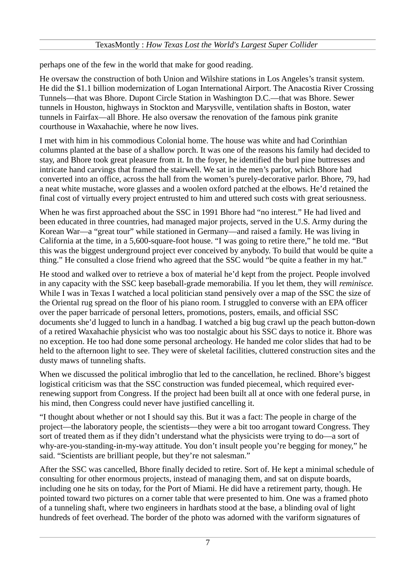### TexasMontly : *How Texas Lost the World's Largest Super Collider*

perhaps one of the few in the world that make for good reading.

He oversaw the construction of both Union and Wilshire stations in Los Angeles's transit system. He did the \$1.1 billion modernization of Logan International Airport. The Anacostia River Crossing Tunnels—that was Bhore. Dupont Circle Station in Washington D.C.—that was Bhore. Sewer tunnels in Houston, highways in Stockton and Marysville, ventilation shafts in Boston, water tunnels in Fairfax—all Bhore. He also oversaw the renovation of the famous pink granite courthouse in Waxahachie, where he now lives.

I met with him in his commodious Colonial home. The house was white and had Corinthian columns planted at the base of a shallow porch. It was one of the reasons his family had decided to stay, and Bhore took great pleasure from it. In the foyer, he identified the burl pine buttresses and intricate hand carvings that framed the stairwell. We sat in the men's parlor, which Bhore had converted into an office, across the hall from the women's purely-decorative parlor. Bhore, 79, had a neat white mustache, wore glasses and a woolen oxford patched at the elbows. He'd retained the final cost of virtually every project entrusted to him and uttered such costs with great seriousness.

When he was first approached about the SSC in 1991 Bhore had "no interest." He had lived and been educated in three countries, had managed major projects, served in the U.S. Army during the Korean War—a "great tour" while stationed in Germany—and raised a family. He was living in California at the time, in a 5,600-square-foot house. "I was going to retire there," he told me. "But this was the biggest underground project ever conceived by anybody. To build that would be quite a thing." He consulted a close friend who agreed that the SSC would "be quite a feather in my hat."

He stood and walked over to retrieve a box of material he'd kept from the project. People involved in any capacity with the SSC keep baseball-grade memorabilia. If you let them, they will *reminisce.* While I was in Texas I watched a local politician stand pensively over a map of the SSC the size of the Oriental rug spread on the floor of his piano room. I struggled to converse with an EPA officer over the paper barricade of personal letters, promotions, posters, emails, and official SSC documents she'd lugged to lunch in a handbag. I watched a big bug crawl up the peach button-down of a retired Waxahachie physicist who was too nostalgic about his SSC days to notice it. Bhore was no exception. He too had done some personal archeology. He handed me color slides that had to be held to the afternoon light to see. They were of skeletal facilities, cluttered construction sites and the dusty maws of tunneling shafts.

When we discussed the political imbroglio that led to the cancellation, he reclined. Bhore's biggest logistical criticism was that the SSC construction was funded piecemeal, which required everrenewing support from Congress. If the project had been built all at once with one federal purse, in his mind, then Congress could never have justified cancelling it.

"I thought about whether or not I should say this. But it was a fact: The people in charge of the project—the laboratory people, the scientists—they were a bit too arrogant toward Congress. They sort of treated them as if they didn't understand what the physicists were trying to do—a sort of why-are-you-standing-in-my-way attitude. You don't insult people you're begging for money," he said. "Scientists are brilliant people, but they're not salesman."

After the SSC was cancelled, Bhore finally decided to retire. Sort of. He kept a minimal schedule of consulting for other enormous projects, instead of managing them, and sat on dispute boards, including one he sits on today, for the Port of Miami. He did have a retirement party, though. He pointed toward two pictures on a corner table that were presented to him. One was a framed photo of a tunneling shaft, where two engineers in hardhats stood at the base, a blinding oval of light hundreds of feet overhead. The border of the photo was adorned with the variform signatures of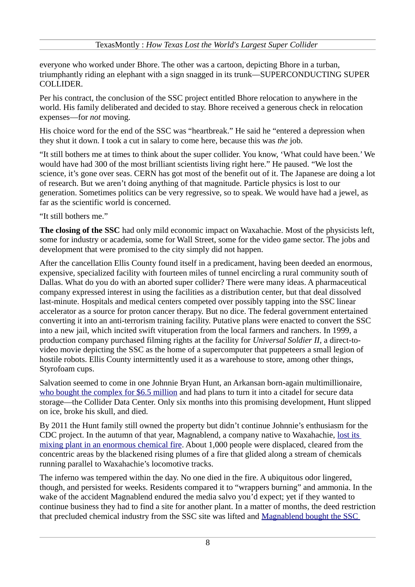everyone who worked under Bhore. The other was a cartoon, depicting Bhore in a turban, triumphantly riding an elephant with a sign snagged in its trunk—SUPERCONDUCTING SUPER COLLIDER.

Per his contract, the conclusion of the SSC project entitled Bhore relocation to anywhere in the world. His family deliberated and decided to stay. Bhore received a generous check in relocation expenses—for *not* moving.

His choice word for the end of the SSC was "heartbreak." He said he "entered a depression when they shut it down. I took a cut in salary to come here, because this was *the* job.

"It still bothers me at times to think about the super collider. You know, 'What could have been.' We would have had 300 of the most brilliant scientists living right here." He paused. "We lost the science, it's gone over seas. CERN has got most of the benefit out of it. The Japanese are doing a lot of research. But we aren't doing anything of that magnitude. Particle physics is lost to our generation. Sometimes politics can be very regressive, so to speak. We would have had a jewel, as far as the scientific world is concerned.

"It still bothers me."

**The closing of the SSC** had only mild economic impact on Waxahachie. Most of the physicists left, some for industry or academia, some for Wall Street, some for the video game sector. The jobs and development that were promised to the city simply did not happen.

After the cancellation Ellis County found itself in a predicament, having been deeded an enormous, expensive, specialized facility with fourteen miles of tunnel encircling a rural community south of Dallas. What do you do with an aborted super collider? There were many ideas. A pharmaceutical company expressed interest in using the facilities as a distribution center, but that deal dissolved last-minute. Hospitals and medical centers competed over possibly tapping into the SSC linear accelerator as a source for proton cancer therapy. But no dice. The federal government entertained converting it into an anti-terrorism training facility. Putative plans were enacted to convert the SSC into a new jail, which incited swift vituperation from the local farmers and ranchers. In 1999, a production company purchased filming rights at the facility for *Universal Soldier II*, a direct-tovideo movie depicting the SSC as the home of a supercomputer that puppeteers a small legion of hostile robots. Ellis County intermittently used it as a warehouse to store, among other things, Styrofoam cups.

Salvation seemed to come in one Johnnie Bryan Hunt, an Arkansan born-again multimillionaire, [who bought the complex for \\$6.5 million](http://www.wired.com/wiredscience/2009/09/super-collider-gallery/all/) and had plans to turn it into a citadel for secure data storage—the Collider Data Center. Only six months into this promising development, Hunt slipped on ice, broke his skull, and died.

By 2011 the Hunt family still owned the property but didn't continue Johnnie's enthusiasm for the CDC project. In the autumn of that year, Magnablend, a company native to Waxahachie, [lost its](http://www.huffingtonpost.com/2011/10/03/magnablend-chemical-plant-burns-waxahachie-texas_n_992537.html) [mixing plant in an enormous chemical fire.](http://www.huffingtonpost.com/2011/10/03/magnablend-chemical-plant-burns-waxahachie-texas_n_992537.html) About 1,000 people were displaced, cleared from the concentric areas by the blackened rising plumes of a fire that glided along a stream of chemicals running parallel to Waxahachie's locomotive tracks.

The inferno was tempered within the day. No one died in the fire. A ubiquitous odor lingered, though, and persisted for weeks. Residents compared it to "wrappers burning" and ammonia. In the wake of the accident Magnablend endured the media salvo you'd expect; yet if they wanted to continue business they had to find a site for another plant. In a matter of months, the deed restriction that precluded chemical industry from the SSC site was lifted and [Magnablend bought the SSC](http://www.ennisdailynews.com/news/magnablend-buys-ssc/)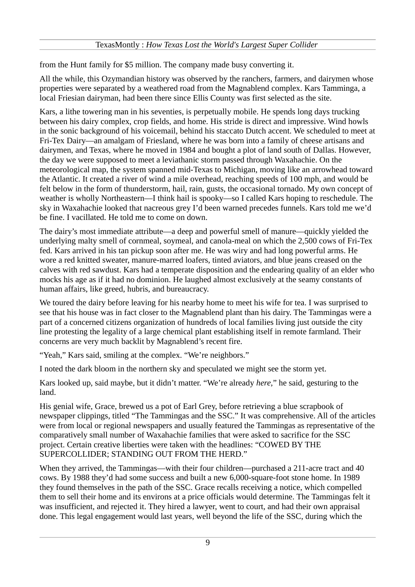from the Hunt family for \$5 million. The company made busy converting it.

All the while, this Ozymandian history was observed by the ranchers, farmers, and dairymen whose properties were separated by a weathered road from the Magnablend complex. Kars Tamminga, a local Friesian dairyman, had been there since Ellis County was first selected as the site.

Kars, a lithe towering man in his seventies, is perpetually mobile. He spends long days trucking between his dairy complex, crop fields, and home. His stride is direct and impressive. Wind howls in the sonic background of his voicemail, behind his staccato Dutch accent. We scheduled to meet at Fri-Tex Dairy—an amalgam of Friesland, where he was born into a family of cheese artisans and dairymen, and Texas, where he moved in 1984 and bought a plot of land south of Dallas. However, the day we were supposed to meet a leviathanic storm passed through Waxahachie. On the meteorological map, the system spanned mid-Texas to Michigan, moving like an arrowhead toward the Atlantic. It created a river of wind a mile overhead, reaching speeds of 100 mph, and would be felt below in the form of thunderstorm, hail, rain, gusts, the occasional tornado. My own concept of weather is wholly Northeastern—I think hail is spooky—so I called Kars hoping to reschedule. The sky in Waxahachie looked that nacreous grey I'd been warned precedes funnels. Kars told me we'd be fine. I vacillated. He told me to come on down.

The dairy's most immediate attribute—a deep and powerful smell of manure—quickly yielded the underlying malty smell of cornmeal, soymeal, and canola-meal on which the 2,500 cows of Fri-Tex fed. Kars arrived in his tan pickup soon after me. He was wiry and had long powerful arms. He wore a red knitted sweater, manure-marred loafers, tinted aviators, and blue jeans creased on the calves with red sawdust. Kars had a temperate disposition and the endearing quality of an elder who mocks his age as if it had no dominion. He laughed almost exclusively at the seamy constants of human affairs, like greed, hubris, and bureaucracy.

We toured the dairy before leaving for his nearby home to meet his wife for tea. I was surprised to see that his house was in fact closer to the Magnablend plant than his dairy. The Tammingas were a part of a concerned citizens organization of hundreds of local families living just outside the city line protesting the legality of a large chemical plant establishing itself in remote farmland. Their concerns are very much backlit by Magnablend's recent fire.

"Yeah," Kars said, smiling at the complex. "We're neighbors."

I noted the dark bloom in the northern sky and speculated we might see the storm yet.

Kars looked up, said maybe, but it didn't matter. "We're already *here,*" he said, gesturing to the land.

His genial wife, Grace, brewed us a pot of Earl Grey, before retrieving a blue scrapbook of newspaper clippings, titled "The Tammingas and the SSC." It was comprehensive. All of the articles were from local or regional newspapers and usually featured the Tammingas as representative of the comparatively small number of Waxahachie families that were asked to sacrifice for the SSC project. Certain creative liberties were taken with the headlines: "COWED BY THE SUPERCOLLIDER; STANDING OUT FROM THE HERD."

When they arrived, the Tammingas—with their four children—purchased a 211-acre tract and 40 cows. By 1988 they'd had some success and built a new 6,000-square-foot stone home. In 1989 they found themselves in the path of the SSC. Grace recalls receiving a notice, which compelled them to sell their home and its environs at a price officials would determine. The Tammingas felt it was insufficient, and rejected it. They hired a lawyer, went to court, and had their own appraisal done. This legal engagement would last years, well beyond the life of the SSC, during which the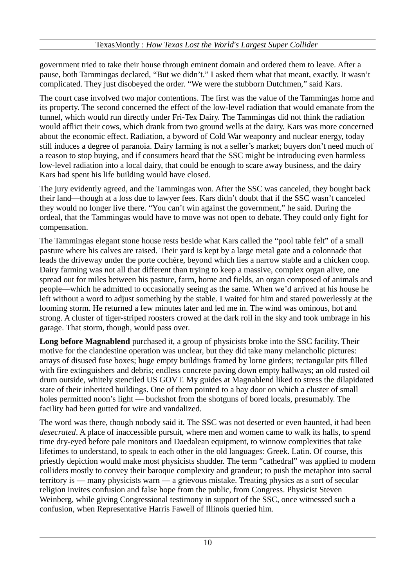government tried to take their house through eminent domain and ordered them to leave. After a pause, both Tammingas declared, "But we didn't." I asked them what that meant, exactly. It wasn't complicated. They just disobeyed the order. "We were the stubborn Dutchmen," said Kars.

The court case involved two major contentions. The first was the value of the Tammingas home and its property. The second concerned the effect of the low-level radiation that would emanate from the tunnel, which would run directly under Fri-Tex Dairy. The Tammingas did not think the radiation would afflict their cows, which drank from two ground wells at the dairy. Kars was more concerned about the economic effect. Radiation, a byword of Cold War weaponry and nuclear energy, today still induces a degree of paranoia. Dairy farming is not a seller's market; buyers don't need much of a reason to stop buying, and if consumers heard that the SSC might be introducing even harmless low-level radiation into a local dairy, that could be enough to scare away business, and the dairy Kars had spent his life building would have closed.

The jury evidently agreed, and the Tammingas won. After the SSC was canceled, they bought back their land—though at a loss due to lawyer fees. Kars didn't doubt that if the SSC wasn't canceled they would no longer live there. "You can't win against the government," he said. During the ordeal, that the Tammingas would have to move was not open to debate. They could only fight for compensation.

The Tammingas elegant stone house rests beside what Kars called the "pool table felt" of a small pasture where his calves are raised. Their yard is kept by a large metal gate and a colonnade that leads the driveway under the porte cochère, beyond which lies a narrow stable and a chicken coop. Dairy farming was not all that different than trying to keep a massive, complex organ alive, one spread out for miles between his pasture, farm, home and fields, an organ composed of animals and people—which he admitted to occasionally seeing as the same. When we'd arrived at his house he left without a word to adjust something by the stable. I waited for him and stared powerlessly at the looming storm. He returned a few minutes later and led me in. The wind was ominous, hot and strong. A cluster of tiger-striped roosters crowed at the dark roil in the sky and took umbrage in his garage. That storm, though, would pass over.

**Long before Magnablend** purchased it, a group of physicists broke into the SSC facility. Their motive for the clandestine operation was unclear, but they did take many melancholic pictures: arrays of disused fuse boxes; huge empty buildings framed by lorne girders; rectangular pits filled with fire extinguishers and debris; endless concrete paving down empty hallways; an old rusted oil drum outside, whitely stenciled US GOVT. My guides at Magnablend liked to stress the dilapidated state of their inherited buildings. One of them pointed to a bay door on which a cluster of small holes permitted noon's light — buckshot from the shotguns of bored locals, presumably. The facility had been gutted for wire and vandalized.

The word was there, though nobody said it. The SSC was not deserted or even haunted, it had been *desecrated*. A place of inaccessible pursuit, where men and women came to walk its halls, to spend time dry-eyed before pale monitors and Daedalean equipment, to winnow complexities that take lifetimes to understand, to speak to each other in the old languages: Greek. Latin. Of course, this priestly depiction would make most physicists shudder. The term "cathedral" was applied to modern colliders mostly to convey their baroque complexity and grandeur; to push the metaphor into sacral territory is — many physicists warn — a grievous mistake. Treating physics as a sort of secular religion invites confusion and false hope from the public, from Congress. Physicist Steven Weinberg, while giving Congressional testimony in support of the SSC, once witnessed such a confusion, when Representative Harris Fawell of Illinois queried him.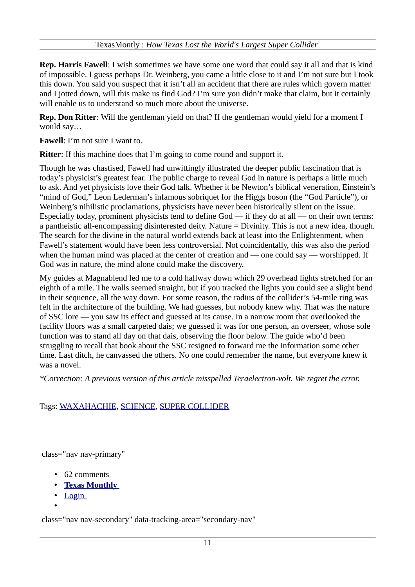**Rep. Harris Fawell**: I wish sometimes we have some one word that could say it all and that is kind of impossible. I guess perhaps Dr. Weinberg, you came a little close to it and I'm not sure but I took this down. You said you suspect that it isn't all an accident that there are rules which govern matter and I jotted down, will this make us find God? I'm sure you didn't make that claim, but it certainly will enable us to understand so much more about the universe.

**Rep. Don Ritter**: Will the gentleman yield on that? If the gentleman would yield for a moment I would say…

**Fawell**: I'm not sure I want to.

**Ritter:** If this machine does that I'm going to come round and support it.

Though he was chastised, Fawell had unwittingly illustrated the deeper public fascination that is today's physicist's greatest fear. The public charge to reveal God in nature is perhaps a little much to ask. And yet physicists love their God talk. Whether it be Newton's biblical veneration, Einstein's "mind of God," Leon Lederman's infamous sobriquet for the Higgs boson (the "God Particle"), or Weinberg's nihilistic proclamations, physicists have never been historically silent on the issue. Especially today, prominent physicists tend to define  $God - if$  they do at all  $-$  on their own terms: a pantheistic all-encompassing disinterested deity. Nature = Divinity. This is not a new idea, though. The search for the divine in the natural world extends back at least into the Enlightenment, when Fawell's statement would have been less controversial. Not coincidentally, this was also the period when the human mind was placed at the center of creation and — one could say — worshipped. If God was in nature, the mind alone could make the discovery.

My guides at Magnablend led me to a cold hallway down which 29 overhead lights stretched for an eighth of a mile. The walls seemed straight, but if you tracked the lights you could see a slight bend in their sequence, all the way down. For some reason, the radius of the collider's 54-mile ring was felt in the architecture of the building. We had guesses, but nobody knew why. That was the nature of SSC lore — you saw its effect and guessed at its cause. In a narrow room that overlooked the facility floors was a small carpeted dais; we guessed it was for one person, an overseer, whose sole function was to stand all day on that dais, observing the floor below. The guide who'd been struggling to recall that book about the SSC resigned to forward me the information some other time. Last ditch, he canvassed the others. No one could remember the name, but everyone knew it was a novel.

*\*Correction: A previous version of this article misspelled Teraelectron-volt. We regret the error.*

# Tags: [WAXAHACHIE,](http://www.texasmonthly.com/search-results/Waxahachie) [SCIENCE,](http://www.texasmonthly.com/search-results/Science) [SUPER COLLIDER](http://www.texasmonthly.com/search-results/super%20collider)

class="nav nav-primary"

- 62 comments
- • **[Texas Monthly](https://disqus.com/home/forums/texasmonthly/)**
- • [Login](http://disqus.com/embed/comments/?base=default&version=efc05164bbe607ae229b78a28ef865e3&f=texasmonthly&t_i=node%2F55968&t_u=http%3A%2F%2Fwww.texasmonthly.com%2Fstory%2Fhow-texas-lost-worlds-largest-super-collider&t_e=How%20Texas%20Lost%20the%20World%26%23039%3Bs%20Largest%20Super%20Collider&t_d=How%20Texas%20Lost%20the%20World)
- •

class="nav nav-secondary" data-tracking-area="secondary-nav"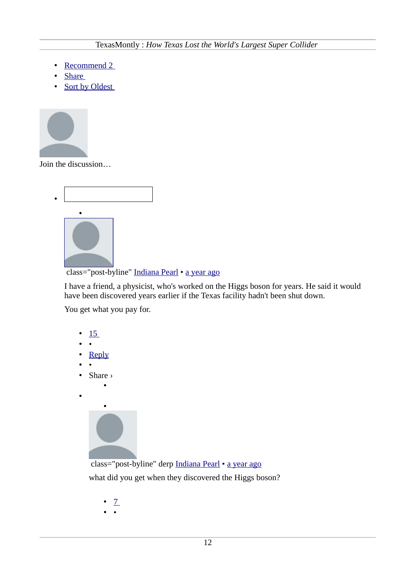- Recommend 2
- • [Share](http://disqus.com/embed/comments/?base=default&version=efc05164bbe607ae229b78a28ef865e3&f=texasmonthly&t_i=node%2F55968&t_u=http%3A%2F%2Fwww.texasmonthly.com%2Fstory%2Fhow-texas-lost-worlds-largest-super-collider&t_e=How%20Texas%20Lost%20the%20World%26%23039%3Bs%20Largest%20Super%20Collider&t_d=How%20Texas%20Lost%20the%20World)
- Sort by Oldest



Join the discussion…



class="post-byline" [Indiana Pearl](https://disqus.com/by/disqus_XIWKekO6YU/) • [a year ago](http://www.texasmonthly.com/story/how-texas-lost-worlds-largest-super-collider?fullpage=1#comment-1092044583)

I have a friend, a physicist, who's worked on the Higgs boson for years. He said it would have been discovered years earlier if the Texas facility hadn't been shut down.

You get what you pay for.

- • [15](http://disqus.com/embed/comments/?base=default&version=efc05164bbe607ae229b78a28ef865e3&f=texasmonthly&t_i=node%2F55968&t_u=http%3A%2F%2Fwww.texasmonthly.com%2Fstory%2Fhow-texas-lost-worlds-largest-super-collider&t_e=How%20Texas%20Lost%20the%20World%26%23039%3Bs%20Largest%20Super%20Collider&t_d=How%20Texas%20Lost%20the%20World)
- •
- • [Reply](http://disqus.com/embed/comments/?base=default&version=efc05164bbe607ae229b78a28ef865e3&f=texasmonthly&t_i=node%2F55968&t_u=http%3A%2F%2Fwww.texasmonthly.com%2Fstory%2Fhow-texas-lost-worlds-largest-super-collider&t_e=How%20Texas%20Lost%20the%20World%26%23039%3Bs%20Largest%20Super%20Collider&t_d=How%20Texas%20Lost%20the%20World)
- •
- Share ›

•

•



 class="post-byline" derp [Indiana Pearl](http://www.texasmonthly.com/story/how-texas-lost-worlds-largest-super-collider?fullpage=1#comment-1092044583) • [a year ago](http://www.texasmonthly.com/story/how-texas-lost-worlds-largest-super-collider?fullpage=1#comment-1100352141) what did you get when they discovered the Higgs boson?

- • [7](http://disqus.com/embed/comments/?base=default&version=efc05164bbe607ae229b78a28ef865e3&f=texasmonthly&t_i=node%2F55968&t_u=http%3A%2F%2Fwww.texasmonthly.com%2Fstory%2Fhow-texas-lost-worlds-largest-super-collider&t_e=How%20Texas%20Lost%20the%20World%26%23039%3Bs%20Largest%20Super%20Collider&t_d=How%20Texas%20Lost%20the%20World)
- •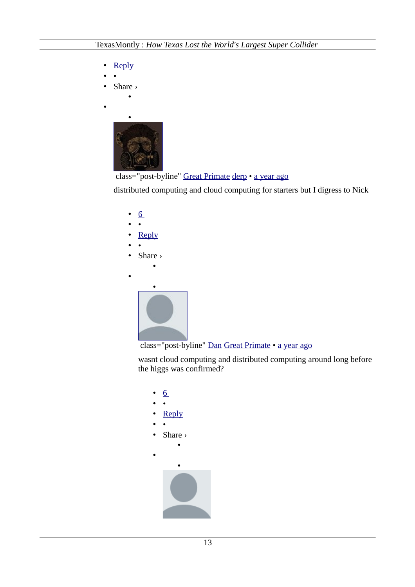- • [Reply](http://disqus.com/embed/comments/?base=default&version=efc05164bbe607ae229b78a28ef865e3&f=texasmonthly&t_i=node%2F55968&t_u=http%3A%2F%2Fwww.texasmonthly.com%2Fstory%2Fhow-texas-lost-worlds-largest-super-collider&t_e=How%20Texas%20Lost%20the%20World%26%23039%3Bs%20Largest%20Super%20Collider&t_d=How%20Texas%20Lost%20the%20World)
- •
- Share ›

•

•





distributed computing and cloud computing for starters but I digress to Nick





wasnt cloud computing and distributed computing around long before the higgs was confirmed?

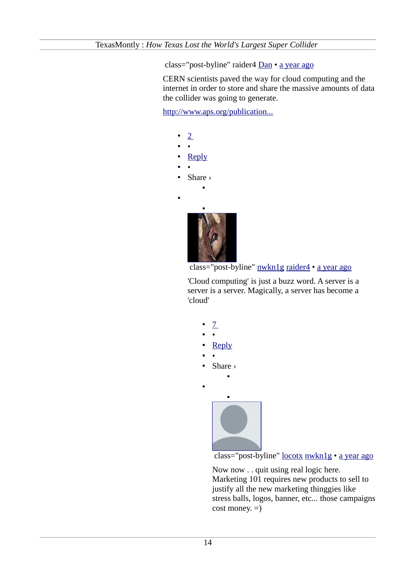class="post-byline" raider4 [Dan](http://www.texasmonthly.com/story/how-texas-lost-worlds-largest-super-collider?fullpage=1#comment-1100451458) • [a year ago](http://www.texasmonthly.com/story/how-texas-lost-worlds-largest-super-collider?fullpage=1#comment-1100753824)

CERN scientists paved the way for cloud computing and the internet in order to store and share the massive amounts of data the collider was going to generate.

[http://www.aps.org/publication...](http://www.aps.org/publications/capitolhillquarterly/201207/higgsbosom.cfm)

- • [2](http://disqus.com/embed/comments/?base=default&version=efc05164bbe607ae229b78a28ef865e3&f=texasmonthly&t_i=node%2F55968&t_u=http%3A%2F%2Fwww.texasmonthly.com%2Fstory%2Fhow-texas-lost-worlds-largest-super-collider&t_e=How%20Texas%20Lost%20the%20World%26%23039%3Bs%20Largest%20Super%20Collider&t_d=How%20Texas%20Lost%20the%20World)
- •
- • [Reply](http://disqus.com/embed/comments/?base=default&version=efc05164bbe607ae229b78a28ef865e3&f=texasmonthly&t_i=node%2F55968&t_u=http%3A%2F%2Fwww.texasmonthly.com%2Fstory%2Fhow-texas-lost-worlds-largest-super-collider&t_e=How%20Texas%20Lost%20the%20World%26%23039%3Bs%20Largest%20Super%20Collider&t_d=How%20Texas%20Lost%20the%20World)
- •

•

- Share ›
	- •



```
 nwkn1graider4  a year ago
```
'Cloud computing' is just a buzz word. A server is a server is a server. Magically, a server has become a 'cloud'



class="post-byline" [locotx](https://disqus.com/by/locotx/) [nwkn1g](http://www.texasmonthly.com/story/how-texas-lost-worlds-largest-super-collider?fullpage=1#comment-1100939087) • [a year ago](http://www.texasmonthly.com/story/how-texas-lost-worlds-largest-super-collider?fullpage=1#comment-1101043527)

Now now . . quit using real logic here. Marketing 101 requires new products to sell to justify all the new marketing thinggies like stress balls, logos, banner, etc... those campaigns  $cost$  money.  $=$ )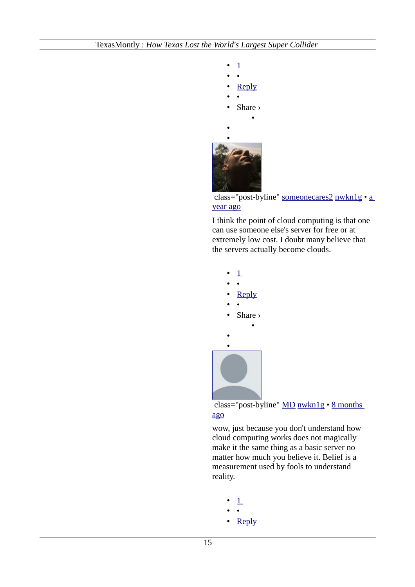



I think the point of cloud computing is that one can use someone else's server for free or at extremely low cost. I doubt many believe that the servers actually become clouds.



class="post-byline" [MD](https://disqus.com/by/disqus_Mceqbxq01l/) [nwkn1g](http://www.texasmonthly.com/story/how-texas-lost-worlds-largest-super-collider?fullpage=1#comment-1100939087) • [8 months](http://www.texasmonthly.com/story/how-texas-lost-worlds-largest-super-collider?fullpage=1#comment-1522726021) [ago](http://www.texasmonthly.com/story/how-texas-lost-worlds-largest-super-collider?fullpage=1#comment-1522726021)

wow, just because you don't understand how cloud computing works does not magically make it the same thing as a basic server no matter how much you believe it. Belief is a measurement used by fools to understand reality.

- • [1](http://disqus.com/embed/comments/?base=default&version=efc05164bbe607ae229b78a28ef865e3&f=texasmonthly&t_i=node%2F55968&t_u=http%3A%2F%2Fwww.texasmonthly.com%2Fstory%2Fhow-texas-lost-worlds-largest-super-collider&t_e=How%20Texas%20Lost%20the%20World%26%23039%3Bs%20Largest%20Super%20Collider&t_d=How%20Texas%20Lost%20the%20World)
- •
- • [Reply](http://disqus.com/embed/comments/?base=default&version=efc05164bbe607ae229b78a28ef865e3&f=texasmonthly&t_i=node%2F55968&t_u=http%3A%2F%2Fwww.texasmonthly.com%2Fstory%2Fhow-texas-lost-worlds-largest-super-collider&t_e=How%20Texas%20Lost%20the%20World%26%23039%3Bs%20Largest%20Super%20Collider&t_d=How%20Texas%20Lost%20the%20World)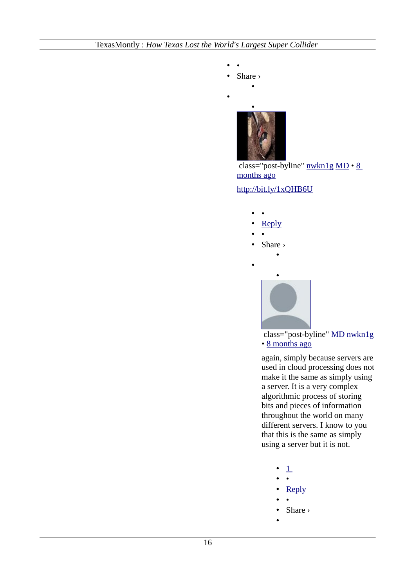• •

•

- Share ›
- •



 class="post-byline" [nwkn1g](https://disqus.com/by/nwkn1g/) [MD](http://www.texasmonthly.com/story/how-texas-lost-worlds-largest-super-collider?fullpage=1#comment-1522726021) • [8](http://www.texasmonthly.com/story/how-texas-lost-worlds-largest-super-collider?fullpage=1#comment-1522862843) [months ago](http://www.texasmonthly.com/story/how-texas-lost-worlds-largest-super-collider?fullpage=1#comment-1522862843)

# <http://bit.ly/1xQHB6U>

- •
- • [Reply](http://disqus.com/embed/comments/?base=default&version=efc05164bbe607ae229b78a28ef865e3&f=texasmonthly&t_i=node%2F55968&t_u=http%3A%2F%2Fwww.texasmonthly.com%2Fstory%2Fhow-texas-lost-worlds-largest-super-collider&t_e=How%20Texas%20Lost%20the%20World%26%23039%3Bs%20Largest%20Super%20Collider&t_d=How%20Texas%20Lost%20the%20World)
- •
- Share ›

•

•



 class="post-byline" [MD](https://disqus.com/by/disqus_Mceqbxq01l/) [nwkn1g](http://www.texasmonthly.com/story/how-texas-lost-worlds-largest-super-collider?fullpage=1#comment-1522862843) • [8 months ago](http://www.texasmonthly.com/story/how-texas-lost-worlds-largest-super-collider?fullpage=1#comment-1522974286)

again, simply because servers are used in cloud processing does not make it the same as simply using a server. It is a very complex algorithmic process of storing bits and pieces of information throughout the world on many different servers. I know to you that this is the same as simply using a server but it is not.

- $\perp$
- •
- • [Reply](http://disqus.com/embed/comments/?base=default&version=efc05164bbe607ae229b78a28ef865e3&f=texasmonthly&t_i=node%2F55968&t_u=http%3A%2F%2Fwww.texasmonthly.com%2Fstory%2Fhow-texas-lost-worlds-largest-super-collider&t_e=How%20Texas%20Lost%20the%20World%26%23039%3Bs%20Largest%20Super%20Collider&t_d=How%20Texas%20Lost%20the%20World)
- •
- Share ›
- •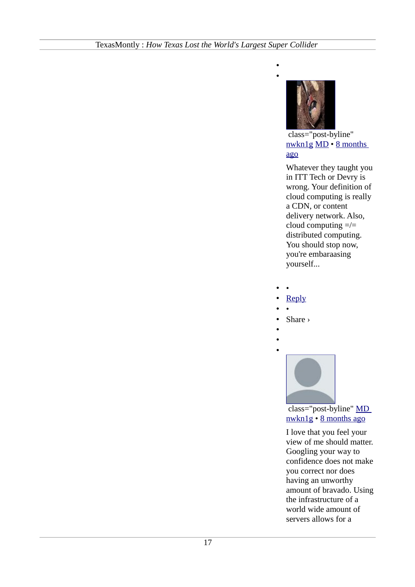

• •

> class="post-byline" [nwkn1g](https://disqus.com/by/nwkn1g/) [MD](http://www.texasmonthly.com/story/how-texas-lost-worlds-largest-super-collider?fullpage=1#comment-1522974286) • [8 months](http://www.texasmonthly.com/story/how-texas-lost-worlds-largest-super-collider?fullpage=1#comment-1522990788) [ago](http://www.texasmonthly.com/story/how-texas-lost-worlds-largest-super-collider?fullpage=1#comment-1522990788)

Whatever they taught you in ITT Tech or Devry is wrong. Your definition of cloud computing is really a CDN, or content delivery network. Also, cloud computing  $=$ / $=$ distributed computing. You should stop now, you're embaraasing yourself...

- •
- • [Reply](http://disqus.com/embed/comments/?base=default&version=efc05164bbe607ae229b78a28ef865e3&f=texasmonthly&t_i=node%2F55968&t_u=http%3A%2F%2Fwww.texasmonthly.com%2Fstory%2Fhow-texas-lost-worlds-largest-super-collider&t_e=How%20Texas%20Lost%20the%20World%26%23039%3Bs%20Largest%20Super%20Collider&t_d=How%20Texas%20Lost%20the%20World)
- •
- Share ›
- •

•



 class="post-byline" [MD](https://disqus.com/by/disqus_Mceqbxq01l/) [nwkn1g](http://www.texasmonthly.com/story/how-texas-lost-worlds-largest-super-collider?fullpage=1#comment-1522990788) • [8 months ago](http://www.texasmonthly.com/story/how-texas-lost-worlds-largest-super-collider?fullpage=1#comment-1523016640)

I love that you feel your view of me should matter. Googling your way to confidence does not make you correct nor does having an unworthy amount of bravado. Using the infrastructure of a world wide amount of servers allows for a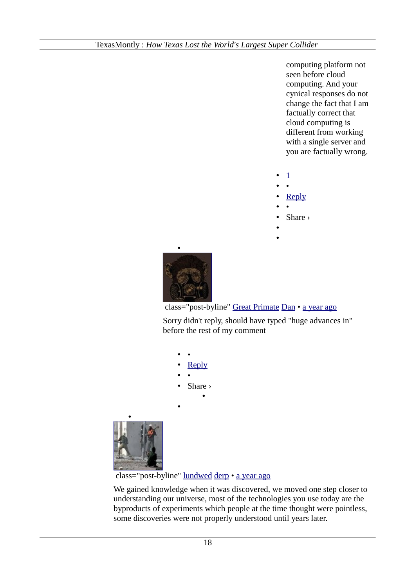computing platform not seen before cloud computing. And your cynical responses do not change the fact that I am factually correct that cloud computing is different from working with a single server and you are factually wrong.

- $\perp$
- •
- • [Reply](http://disqus.com/embed/comments/?base=default&version=efc05164bbe607ae229b78a28ef865e3&f=texasmonthly&t_i=node%2F55968&t_u=http%3A%2F%2Fwww.texasmonthly.com%2Fstory%2Fhow-texas-lost-worlds-largest-super-collider&t_e=How%20Texas%20Lost%20the%20World%26%23039%3Bs%20Largest%20Super%20Collider&t_d=How%20Texas%20Lost%20the%20World)
- •
- Share ›
- •
- •



class="post-byline" [Great Primate](https://disqus.com/by/bjparkinson37/) [Dan](http://www.texasmonthly.com/story/how-texas-lost-worlds-largest-super-collider?fullpage=1#comment-1100451458) • [a year ago](http://www.texasmonthly.com/story/how-texas-lost-worlds-largest-super-collider?fullpage=1#comment-1102809893)

Sorry didn't reply, should have typed "huge advances in" before the rest of my comment

- •
- • [Reply](http://disqus.com/embed/comments/?base=default&version=efc05164bbe607ae229b78a28ef865e3&f=texasmonthly&t_i=node%2F55968&t_u=http%3A%2F%2Fwww.texasmonthly.com%2Fstory%2Fhow-texas-lost-worlds-largest-super-collider&t_e=How%20Texas%20Lost%20the%20World%26%23039%3Bs%20Largest%20Super%20Collider&t_d=How%20Texas%20Lost%20the%20World)
- •
- Share ›

•

•



class="post-byline" [lundwed](https://disqus.com/by/lundwed/) [derp](http://www.texasmonthly.com/story/how-texas-lost-worlds-largest-super-collider?fullpage=1#comment-1100352141) • [a year ago](http://www.texasmonthly.com/story/how-texas-lost-worlds-largest-super-collider?fullpage=1#comment-1100688067)

We gained knowledge when it was discovered, we moved one step closer to understanding our universe, most of the technologies you use today are the byproducts of experiments which people at the time thought were pointless, some discoveries were not properly understood until years later.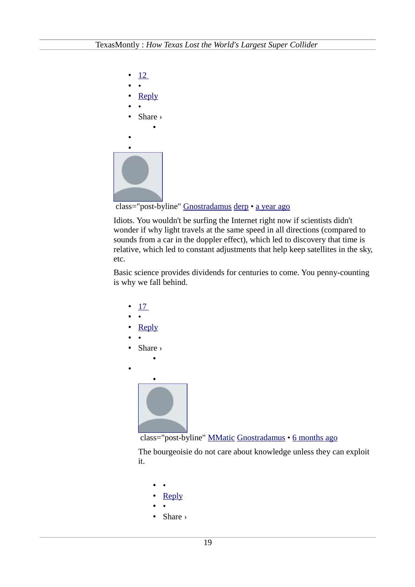

class="post-byline" [Gnostradamus](https://disqus.com/by/Gnostradamus/) [derp](http://www.texasmonthly.com/story/how-texas-lost-worlds-largest-super-collider?fullpage=1#comment-1100352141) • [a year ago](http://www.texasmonthly.com/story/how-texas-lost-worlds-largest-super-collider?fullpage=1#comment-1101612289)

Idiots. You wouldn't be surfing the Internet right now if scientists didn't wonder if why light travels at the same speed in all directions (compared to sounds from a car in the doppler effect), which led to discovery that time is relative, which led to constant adjustments that help keep satellites in the sky, etc.

Basic science provides dividends for centuries to come. You penny-counting is why we fall behind.





The bourgeoisie do not care about knowledge unless they can exploit it.

- •
- • [Reply](http://disqus.com/embed/comments/?base=default&version=efc05164bbe607ae229b78a28ef865e3&f=texasmonthly&t_i=node%2F55968&t_u=http%3A%2F%2Fwww.texasmonthly.com%2Fstory%2Fhow-texas-lost-worlds-largest-super-collider&t_e=How%20Texas%20Lost%20the%20World%26%23039%3Bs%20Largest%20Super%20Collider&t_d=How%20Texas%20Lost%20the%20World) • •
- Share ›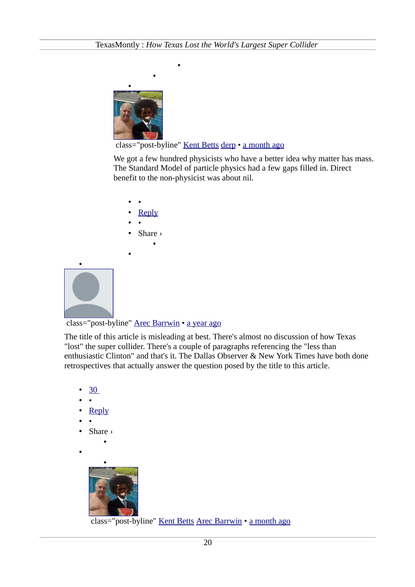•



•

# class="post-byline" [Kent Betts](https://disqus.com/by/kentbetts/) [derp](http://www.texasmonthly.com/story/how-texas-lost-worlds-largest-super-collider?fullpage=1#comment-1100352141) · [a month ago](http://www.texasmonthly.com/story/how-texas-lost-worlds-largest-super-collider?fullpage=1#comment-1895589679)

We got a few hundred physicists who have a better idea why matter has mass. The Standard Model of particle physics had a few gaps filled in. Direct benefit to the non-physicist was about nil.

- •
- • [Reply](http://disqus.com/embed/comments/?base=default&version=efc05164bbe607ae229b78a28ef865e3&f=texasmonthly&t_i=node%2F55968&t_u=http%3A%2F%2Fwww.texasmonthly.com%2Fstory%2Fhow-texas-lost-worlds-largest-super-collider&t_e=How%20Texas%20Lost%20the%20World%26%23039%3Bs%20Largest%20Super%20Collider&t_d=How%20Texas%20Lost%20the%20World)
- •
- Share ›

•

•



# class="post-byline" [Arec Barrwin](https://disqus.com/by/arecbarrwin/) • [a year ago](http://www.texasmonthly.com/story/how-texas-lost-worlds-largest-super-collider?fullpage=1#comment-1092210890)

The title of this article is misleading at best. There's almost no discussion of how Texas "lost" the super collider. There's a couple of paragraphs referencing the "less than enthusiastic Clinton" and that's it. The Dallas Observer & New York Times have both done retrospectives that actually answer the question posed by the title to this article.

- • [30](http://disqus.com/embed/comments/?base=default&version=efc05164bbe607ae229b78a28ef865e3&f=texasmonthly&t_i=node%2F55968&t_u=http%3A%2F%2Fwww.texasmonthly.com%2Fstory%2Fhow-texas-lost-worlds-largest-super-collider&t_e=How%20Texas%20Lost%20the%20World%26%23039%3Bs%20Largest%20Super%20Collider&t_d=How%20Texas%20Lost%20the%20World)
- •
- • [Reply](http://disqus.com/embed/comments/?base=default&version=efc05164bbe607ae229b78a28ef865e3&f=texasmonthly&t_i=node%2F55968&t_u=http%3A%2F%2Fwww.texasmonthly.com%2Fstory%2Fhow-texas-lost-worlds-largest-super-collider&t_e=How%20Texas%20Lost%20the%20World%26%23039%3Bs%20Largest%20Super%20Collider&t_d=How%20Texas%20Lost%20the%20World)
- •
- Share ›

•

•



class="post-byline" [Kent Betts](https://disqus.com/by/kentbetts/) [Arec Barrwin](http://www.texasmonthly.com/story/how-texas-lost-worlds-largest-super-collider?fullpage=1#comment-1092210890) • [a month ago](http://www.texasmonthly.com/story/how-texas-lost-worlds-largest-super-collider?fullpage=1#comment-1895602573)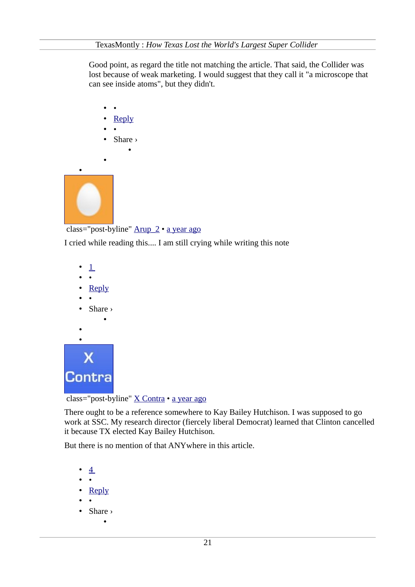Good point, as regard the title not matching the article. That said, the Collider was lost because of weak marketing. I would suggest that they call it "a microscope that can see inside atoms", but they didn't.

- •
- • [Reply](http://disqus.com/embed/comments/?base=default&version=efc05164bbe607ae229b78a28ef865e3&f=texasmonthly&t_i=node%2F55968&t_u=http%3A%2F%2Fwww.texasmonthly.com%2Fstory%2Fhow-texas-lost-worlds-largest-super-collider&t_e=How%20Texas%20Lost%20the%20World%26%23039%3Bs%20Largest%20Super%20Collider&t_d=How%20Texas%20Lost%20the%20World)
- •

•

• Share › •



class="post-byline" Arup 2 · [a year ago](http://www.texasmonthly.com/story/how-texas-lost-worlds-largest-super-collider?fullpage=1#comment-1099757267)

I cried while reading this.... I am still crying while writing this note

- $\perp$
- •
- • [Reply](http://disqus.com/embed/comments/?base=default&version=efc05164bbe607ae229b78a28ef865e3&f=texasmonthly&t_i=node%2F55968&t_u=http%3A%2F%2Fwww.texasmonthly.com%2Fstory%2Fhow-texas-lost-worlds-largest-super-collider&t_e=How%20Texas%20Lost%20the%20World%26%23039%3Bs%20Largest%20Super%20Collider&t_d=How%20Texas%20Lost%20the%20World)
- •
- Share ›

•

- 
- •



class="post-byline" [X Contra](https://disqus.com/by/xcontra/) • [a year ago](http://www.texasmonthly.com/story/how-texas-lost-worlds-largest-super-collider?fullpage=1#comment-1100291837)

There ought to be a reference somewhere to Kay Bailey Hutchison. I was supposed to go work at SSC. My research director (fiercely liberal Democrat) learned that Clinton cancelled it because TX elected Kay Bailey Hutchison.

But there is no mention of that ANYwhere in this article.

- $\overline{4}$
- •
- • [Reply](http://disqus.com/embed/comments/?base=default&version=efc05164bbe607ae229b78a28ef865e3&f=texasmonthly&t_i=node%2F55968&t_u=http%3A%2F%2Fwww.texasmonthly.com%2Fstory%2Fhow-texas-lost-worlds-largest-super-collider&t_e=How%20Texas%20Lost%20the%20World%26%23039%3Bs%20Largest%20Super%20Collider&t_d=How%20Texas%20Lost%20the%20World)
- •
- Share › •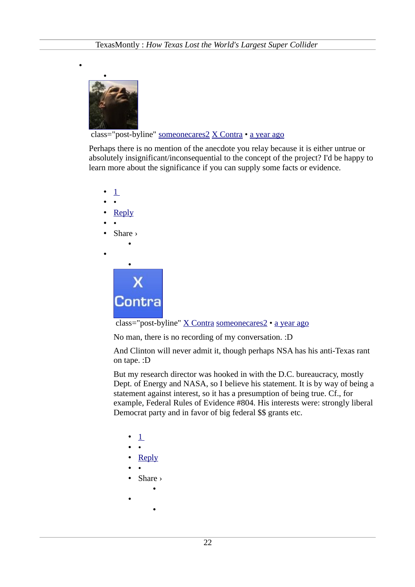

•

class="post-byline" [someonecares2](https://disqus.com/by/someonecares2/) [X Contra](http://www.texasmonthly.com/story/how-texas-lost-worlds-largest-super-collider?fullpage=1#comment-1100291837) • [a year ago](http://www.texasmonthly.com/story/how-texas-lost-worlds-largest-super-collider?fullpage=1#comment-1116481165)

Perhaps there is no mention of the anecdote you relay because it is either untrue or absolutely insignificant/inconsequential to the concept of the project? I'd be happy to learn more about the significance if you can supply some facts or evidence.

 $\perp$ • • • [Reply](http://disqus.com/embed/comments/?base=default&version=efc05164bbe607ae229b78a28ef865e3&f=texasmonthly&t_i=node%2F55968&t_u=http%3A%2F%2Fwww.texasmonthly.com%2Fstory%2Fhow-texas-lost-worlds-largest-super-collider&t_e=How%20Texas%20Lost%20the%20World%26%23039%3Bs%20Largest%20Super%20Collider&t_d=How%20Texas%20Lost%20the%20World) • • • Share › • • •



class="post-byline" [X Contra](https://disqus.com/by/xcontra/) [someonecares2](http://www.texasmonthly.com/story/how-texas-lost-worlds-largest-super-collider?fullpage=1#comment-1116481165) • [a year ago](http://www.texasmonthly.com/story/how-texas-lost-worlds-largest-super-collider?fullpage=1#comment-1116542293)

No man, there is no recording of my conversation. :D

And Clinton will never admit it, though perhaps NSA has his anti-Texas rant on tape. :D

But my research director was hooked in with the D.C. bureaucracy, mostly Dept. of Energy and NASA, so I believe his statement. It is by way of being a statement against interest, so it has a presumption of being true. Cf., for example, Federal Rules of Evidence #804. His interests were: strongly liberal Democrat party and in favor of big federal \$\$ grants etc.

- $\perp$
- •
- • [Reply](http://disqus.com/embed/comments/?base=default&version=efc05164bbe607ae229b78a28ef865e3&f=texasmonthly&t_i=node%2F55968&t_u=http%3A%2F%2Fwww.texasmonthly.com%2Fstory%2Fhow-texas-lost-worlds-largest-super-collider&t_e=How%20Texas%20Lost%20the%20World%26%23039%3Bs%20Largest%20Super%20Collider&t_d=How%20Texas%20Lost%20the%20World)
- •
- Share ›

•

- 
- •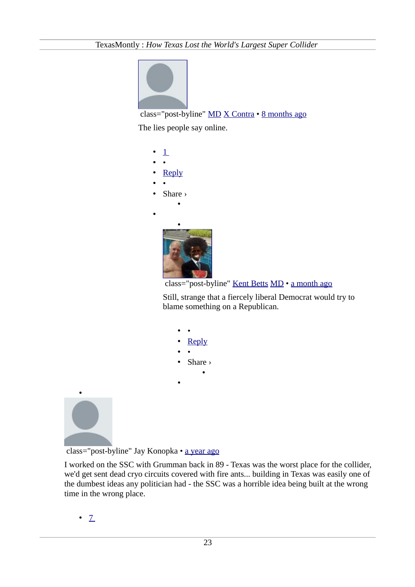

class="post-byline" [MD](https://disqus.com/by/disqus_Mceqbxq01l/) [X Contra](http://www.texasmonthly.com/story/how-texas-lost-worlds-largest-super-collider?fullpage=1#comment-1116542293) • [8 months ago](http://www.texasmonthly.com/story/how-texas-lost-worlds-largest-super-collider?fullpage=1#comment-1522715877)

The lies people say online.

| $\perp$ |
|---------|
|         |
| Reply   |
|         |
| Share > |
|         |
|         |
|         |
|         |



Still, strange that a fiercely liberal Democrat would try to blame something on a Republican.

• • • [Reply](http://disqus.com/embed/comments/?base=default&version=efc05164bbe607ae229b78a28ef865e3&f=texasmonthly&t_i=node%2F55968&t_u=http%3A%2F%2Fwww.texasmonthly.com%2Fstory%2Fhow-texas-lost-worlds-largest-super-collider&t_e=How%20Texas%20Lost%20the%20World%26%23039%3Bs%20Largest%20Super%20Collider&t_d=How%20Texas%20Lost%20the%20World) • •

•

• Share ›

•



class="post-byline" Jay Konopka • [a year ago](http://www.texasmonthly.com/story/how-texas-lost-worlds-largest-super-collider?fullpage=1#comment-1100305368)

I worked on the SSC with Grumman back in 89 - Texas was the worst place for the collider, we'd get sent dead cryo circuits covered with fire ants... building in Texas was easily one of the dumbest ideas any politician had - the SSC was a horrible idea being built at the wrong time in the wrong place.

 $\cdot$  [7](http://disqus.com/embed/comments/?base=default&version=efc05164bbe607ae229b78a28ef865e3&f=texasmonthly&t_i=node%2F55968&t_u=http%3A%2F%2Fwww.texasmonthly.com%2Fstory%2Fhow-texas-lost-worlds-largest-super-collider&t_e=How%20Texas%20Lost%20the%20World%26%23039%3Bs%20Largest%20Super%20Collider&t_d=How%20Texas%20Lost%20the%20World)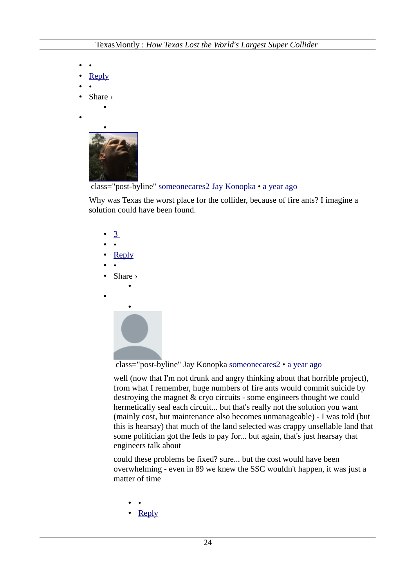- •
- • [Reply](http://disqus.com/embed/comments/?base=default&version=efc05164bbe607ae229b78a28ef865e3&f=texasmonthly&t_i=node%2F55968&t_u=http%3A%2F%2Fwww.texasmonthly.com%2Fstory%2Fhow-texas-lost-worlds-largest-super-collider&t_e=How%20Texas%20Lost%20the%20World%26%23039%3Bs%20Largest%20Super%20Collider&t_d=How%20Texas%20Lost%20the%20World)
- •
- Share ›

•

•



class="post-byline" [someonecares2](https://disqus.com/by/someonecares2/) [Jay Konopka](http://www.texasmonthly.com/story/how-texas-lost-worlds-largest-super-collider?fullpage=1#comment-1100305368) • [a year ago](http://www.texasmonthly.com/story/how-texas-lost-worlds-largest-super-collider?fullpage=1#comment-1100675048)

Why was Texas the worst place for the collider, because of fire ants? I imagine a solution could have been found.

- • [3](http://disqus.com/embed/comments/?base=default&version=efc05164bbe607ae229b78a28ef865e3&f=texasmonthly&t_i=node%2F55968&t_u=http%3A%2F%2Fwww.texasmonthly.com%2Fstory%2Fhow-texas-lost-worlds-largest-super-collider&t_e=How%20Texas%20Lost%20the%20World%26%23039%3Bs%20Largest%20Super%20Collider&t_d=How%20Texas%20Lost%20the%20World)
- •
- **Reply**
- •
- Share › •
- •



class="post-byline" Jay Konopka [someonecares2](http://www.texasmonthly.com/story/how-texas-lost-worlds-largest-super-collider?fullpage=1#comment-1100675048) • [a year ago](http://www.texasmonthly.com/story/how-texas-lost-worlds-largest-super-collider?fullpage=1#comment-1100839044)

well (now that I'm not drunk and angry thinking about that horrible project), from what I remember, huge numbers of fire ants would commit suicide by destroying the magnet & cryo circuits - some engineers thought we could hermetically seal each circuit... but that's really not the solution you want (mainly cost, but maintenance also becomes unmanageable) - I was told (but this is hearsay) that much of the land selected was crappy unsellable land that some politician got the feds to pay for... but again, that's just hearsay that engineers talk about

could these problems be fixed? sure... but the cost would have been overwhelming - even in 89 we knew the SSC wouldn't happen, it was just a matter of time

- •
- • [Reply](http://disqus.com/embed/comments/?base=default&version=efc05164bbe607ae229b78a28ef865e3&f=texasmonthly&t_i=node%2F55968&t_u=http%3A%2F%2Fwww.texasmonthly.com%2Fstory%2Fhow-texas-lost-worlds-largest-super-collider&t_e=How%20Texas%20Lost%20the%20World%26%23039%3Bs%20Largest%20Super%20Collider&t_d=How%20Texas%20Lost%20the%20World)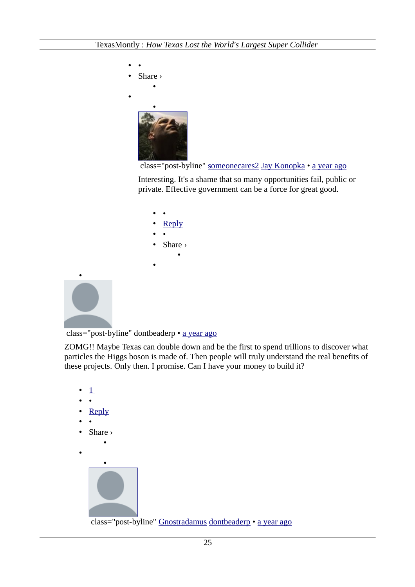

class="post-byline" [someonecares2](https://disqus.com/by/someonecares2/) [Jay Konopka](http://www.texasmonthly.com/story/how-texas-lost-worlds-largest-super-collider?fullpage=1#comment-1100839044) • [a year ago](http://www.texasmonthly.com/story/how-texas-lost-worlds-largest-super-collider?fullpage=1#comment-1116478002)

Interesting. It's a shame that so many opportunities fail, public or private. Effective government can be a force for great good.



class="post-byline" dontbeaderp • [a year ago](http://www.texasmonthly.com/story/how-texas-lost-worlds-largest-super-collider?fullpage=1#comment-1100354991)

•

ZOMG!! Maybe Texas can double down and be the first to spend trillions to discover what particles the Higgs boson is made of. Then people will truly understand the real benefits of these projects. Only then. I promise. Can I have your money to build it?

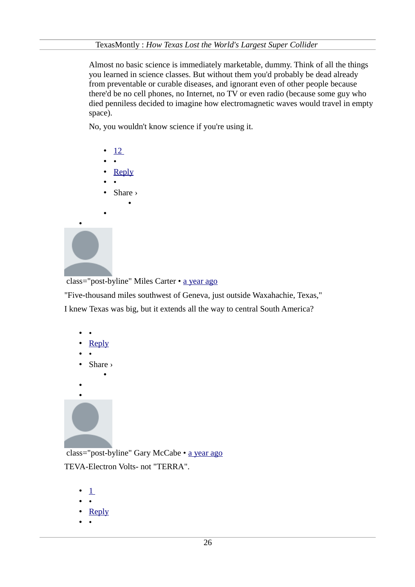Almost no basic science is immediately marketable, dummy. Think of all the things you learned in science classes. But without them you'd probably be dead already from preventable or curable diseases, and ignorant even of other people because there'd be no cell phones, no Internet, no TV or even radio (because some guy who died penniless decided to imagine how electromagnetic waves would travel in empty space).

No, you wouldn't know science if you're using it.

- • [12](http://disqus.com/embed/comments/?base=default&version=efc05164bbe607ae229b78a28ef865e3&f=texasmonthly&t_i=node%2F55968&t_u=http%3A%2F%2Fwww.texasmonthly.com%2Fstory%2Fhow-texas-lost-worlds-largest-super-collider&t_e=How%20Texas%20Lost%20the%20World%26%23039%3Bs%20Largest%20Super%20Collider&t_d=How%20Texas%20Lost%20the%20World)
- •
- • [Reply](http://disqus.com/embed/comments/?base=default&version=efc05164bbe607ae229b78a28ef865e3&f=texasmonthly&t_i=node%2F55968&t_u=http%3A%2F%2Fwww.texasmonthly.com%2Fstory%2Fhow-texas-lost-worlds-largest-super-collider&t_e=How%20Texas%20Lost%20the%20World%26%23039%3Bs%20Largest%20Super%20Collider&t_d=How%20Texas%20Lost%20the%20World)
- • • Share ›

•

•



class="post-byline" Miles Carter • [a year ago](http://www.texasmonthly.com/story/how-texas-lost-worlds-largest-super-collider?fullpage=1#comment-1100430167)

"Five-thousand miles southwest of Geneva, just outside Waxahachie, Texas," I knew Texas was big, but it extends all the way to central South America?

- •
- • [Reply](http://disqus.com/embed/comments/?base=default&version=efc05164bbe607ae229b78a28ef865e3&f=texasmonthly&t_i=node%2F55968&t_u=http%3A%2F%2Fwww.texasmonthly.com%2Fstory%2Fhow-texas-lost-worlds-largest-super-collider&t_e=How%20Texas%20Lost%20the%20World%26%23039%3Bs%20Largest%20Super%20Collider&t_d=How%20Texas%20Lost%20the%20World)
- •
- Share ›

•



class="post-byline" Gary McCabe • [a year ago](http://www.texasmonthly.com/story/how-texas-lost-worlds-largest-super-collider?fullpage=1#comment-1100574715) TEVA-Electron Volts- not "TERRA".

- $\perp$
- •
- • [Reply](http://disqus.com/embed/comments/?base=default&version=efc05164bbe607ae229b78a28ef865e3&f=texasmonthly&t_i=node%2F55968&t_u=http%3A%2F%2Fwww.texasmonthly.com%2Fstory%2Fhow-texas-lost-worlds-largest-super-collider&t_e=How%20Texas%20Lost%20the%20World%26%23039%3Bs%20Largest%20Super%20Collider&t_d=How%20Texas%20Lost%20the%20World)
- •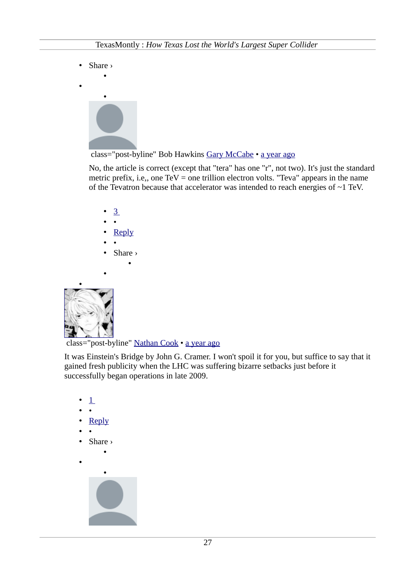• Share ›

•





No, the article is correct (except that "tera" has one "r", not two). It's just the standard metric prefix, i.e., one  $TeV =$  one trillion electron volts. "Teva" appears in the name of the Tevatron because that accelerator was intended to reach energies of  $\sim$ 1 TeV.

- • [3](http://disqus.com/embed/comments/?base=default&version=efc05164bbe607ae229b78a28ef865e3&f=texasmonthly&t_i=node%2F55968&t_u=http%3A%2F%2Fwww.texasmonthly.com%2Fstory%2Fhow-texas-lost-worlds-largest-super-collider&t_e=How%20Texas%20Lost%20the%20World%26%23039%3Bs%20Largest%20Super%20Collider&t_d=How%20Texas%20Lost%20the%20World)
- •
- • [Reply](http://disqus.com/embed/comments/?base=default&version=efc05164bbe607ae229b78a28ef865e3&f=texasmonthly&t_i=node%2F55968&t_u=http%3A%2F%2Fwww.texasmonthly.com%2Fstory%2Fhow-texas-lost-worlds-largest-super-collider&t_e=How%20Texas%20Lost%20the%20World%26%23039%3Bs%20Largest%20Super%20Collider&t_d=How%20Texas%20Lost%20the%20World)
- •
- Share › •
- •



class="post-byline" [Nathan Cook](https://disqus.com/by/disqus_dzLwsdFxdD/) • [a year ago](http://www.texasmonthly.com/story/how-texas-lost-worlds-largest-super-collider?fullpage=1#comment-1100613838)

It was Einstein's Bridge by John G. Cramer. I won't spoil it for you, but suffice to say that it gained fresh publicity when the LHC was suffering bizarre setbacks just before it successfully began operations in late 2009.

 $\perp$ • • • [Reply](http://disqus.com/embed/comments/?base=default&version=efc05164bbe607ae229b78a28ef865e3&f=texasmonthly&t_i=node%2F55968&t_u=http%3A%2F%2Fwww.texasmonthly.com%2Fstory%2Fhow-texas-lost-worlds-largest-super-collider&t_e=How%20Texas%20Lost%20the%20World%26%23039%3Bs%20Largest%20Super%20Collider&t_d=How%20Texas%20Lost%20the%20World) • • • Share › • • •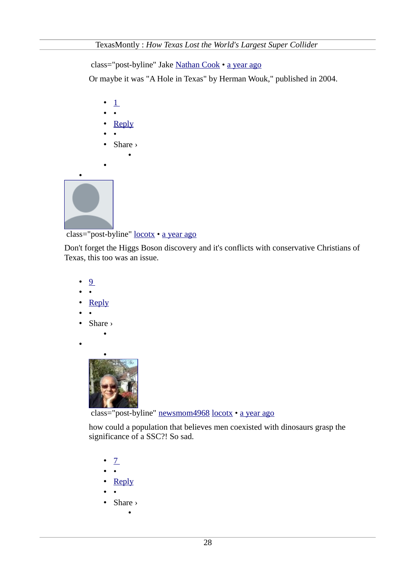class="post-byline" Jake [Nathan Cook](http://www.texasmonthly.com/story/how-texas-lost-worlds-largest-super-collider?fullpage=1#comment-1100613838) • [a year ago](http://www.texasmonthly.com/story/how-texas-lost-worlds-largest-super-collider?fullpage=1#comment-1101714041)

Or maybe it was "A Hole in Texas" by Herman Wouk," published in 2004.

• [Reply](http://disqus.com/embed/comments/?base=default&version=efc05164bbe607ae229b78a28ef865e3&f=texasmonthly&t_i=node%2F55968&t_u=http%3A%2F%2Fwww.texasmonthly.com%2Fstory%2Fhow-texas-lost-worlds-largest-super-collider&t_e=How%20Texas%20Lost%20the%20World%26%23039%3Bs%20Largest%20Super%20Collider&t_d=How%20Texas%20Lost%20the%20World) • • • Share › • [•](https://disqus.com/by/locotx/)

 $\cdot$  [1](http://disqus.com/embed/comments/?base=default&version=efc05164bbe607ae229b78a28ef865e3&f=texasmonthly&t_i=node%2F55968&t_u=http%3A%2F%2Fwww.texasmonthly.com%2Fstory%2Fhow-texas-lost-worlds-largest-super-collider&t_e=How%20Texas%20Lost%20the%20World%26%23039%3Bs%20Largest%20Super%20Collider&t_d=How%20Texas%20Lost%20the%20World) • •

class="post-byline" [locotx](https://disqus.com/by/locotx/) • [a year ago](http://www.texasmonthly.com/story/how-texas-lost-worlds-largest-super-collider?fullpage=1#comment-1101049713)

•

Don't forget the Higgs Boson discovery and it's conflicts with conservative Christians of Texas, this too was an issue.

- • [9](http://disqus.com/embed/comments/?base=default&version=efc05164bbe607ae229b78a28ef865e3&f=texasmonthly&t_i=node%2F55968&t_u=http%3A%2F%2Fwww.texasmonthly.com%2Fstory%2Fhow-texas-lost-worlds-largest-super-collider&t_e=How%20Texas%20Lost%20the%20World%26%23039%3Bs%20Largest%20Super%20Collider&t_d=How%20Texas%20Lost%20the%20World)
- •
- • [Reply](http://disqus.com/embed/comments/?base=default&version=efc05164bbe607ae229b78a28ef865e3&f=texasmonthly&t_i=node%2F55968&t_u=http%3A%2F%2Fwww.texasmonthly.com%2Fstory%2Fhow-texas-lost-worlds-largest-super-collider&t_e=How%20Texas%20Lost%20the%20World%26%23039%3Bs%20Largest%20Super%20Collider&t_d=How%20Texas%20Lost%20the%20World)
- •
- Share ›

•

•



class="post-byline" [newsmom4968](https://disqus.com/by/newsmom4968/) [locotx](http://www.texasmonthly.com/story/how-texas-lost-worlds-largest-super-collider?fullpage=1#comment-1101049713) • [a year ago](http://www.texasmonthly.com/story/how-texas-lost-worlds-largest-super-collider?fullpage=1#comment-1105933154)

how could a population that believes men coexisted with dinosaurs grasp the significance of a SSC?! So sad.

- $Z$
- •
- • [Reply](http://disqus.com/embed/comments/?base=default&version=efc05164bbe607ae229b78a28ef865e3&f=texasmonthly&t_i=node%2F55968&t_u=http%3A%2F%2Fwww.texasmonthly.com%2Fstory%2Fhow-texas-lost-worlds-largest-super-collider&t_e=How%20Texas%20Lost%20the%20World%26%23039%3Bs%20Largest%20Super%20Collider&t_d=How%20Texas%20Lost%20the%20World)
- •
- Share ›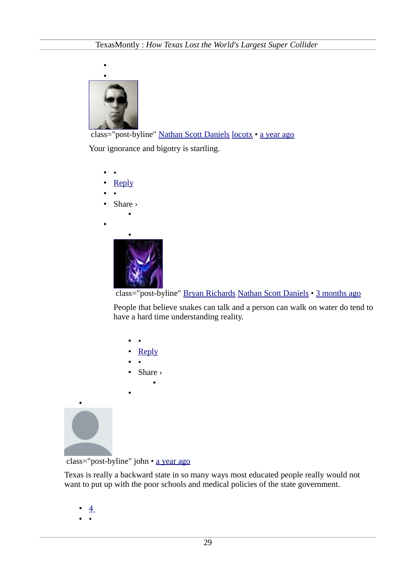

 class="post-byline" [Nathan Scott Daniels](https://disqus.com/by/nathanscottdaniels/) [locotx](http://www.texasmonthly.com/story/how-texas-lost-worlds-largest-super-collider?fullpage=1#comment-1101049713) • [a year ago](http://www.texasmonthly.com/story/how-texas-lost-worlds-largest-super-collider?fullpage=1#comment-1116814737) Your ignorance and bigotry is startling.

- •
- • [Reply](http://disqus.com/embed/comments/?base=default&version=efc05164bbe607ae229b78a28ef865e3&f=texasmonthly&t_i=node%2F55968&t_u=http%3A%2F%2Fwww.texasmonthly.com%2Fstory%2Fhow-texas-lost-worlds-largest-super-collider&t_e=How%20Texas%20Lost%20the%20World%26%23039%3Bs%20Largest%20Super%20Collider&t_d=How%20Texas%20Lost%20the%20World)
- •
- Share ›

•

•



class="post-byline" [Bryan Richards](https://disqus.com/by/bryanrichards/) [Nathan Scott Daniels](http://www.texasmonthly.com/story/how-texas-lost-worlds-largest-super-collider?fullpage=1#comment-1116814737) • [3 months ago](http://www.texasmonthly.com/story/how-texas-lost-worlds-largest-super-collider?fullpage=1#comment-1804030420)

People that believe snakes can talk and a person can walk on water do tend to have a hard time understanding reality.

- •
- • [Reply](http://disqus.com/embed/comments/?base=default&version=efc05164bbe607ae229b78a28ef865e3&f=texasmonthly&t_i=node%2F55968&t_u=http%3A%2F%2Fwww.texasmonthly.com%2Fstory%2Fhow-texas-lost-worlds-largest-super-collider&t_e=How%20Texas%20Lost%20the%20World%26%23039%3Bs%20Largest%20Super%20Collider&t_d=How%20Texas%20Lost%20the%20World)
- •
- Share › •
- •

•

class="post-byline" john • [a year ago](http://www.texasmonthly.com/story/how-texas-lost-worlds-largest-super-collider?fullpage=1#comment-1104122405)

Texas is really a backward state in so many ways most educated people really would not want to put up with the poor schools and medical policies of the state government.

- $\overline{4}$
- •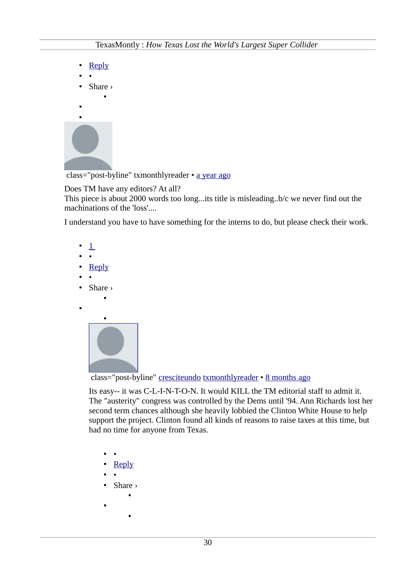| Reply               |  |
|---------------------|--|
|                     |  |
| Share $\rightarrow$ |  |
|                     |  |
|                     |  |
|                     |  |
|                     |  |
|                     |  |

class="post-byline" txmonthlyreader • [a year ago](http://www.texasmonthly.com/story/how-texas-lost-worlds-largest-super-collider?fullpage=1#comment-1117247323)

# Does TM have any editors? At all?

This piece is about 2000 words too long...its title is misleading..b/c we never find out the machinations of the 'loss'....

I understand you have to have something for the interns to do, but please check their work.

 $\perp$ • • • [Reply](http://disqus.com/embed/comments/?base=default&version=efc05164bbe607ae229b78a28ef865e3&f=texasmonthly&t_i=node%2F55968&t_u=http%3A%2F%2Fwww.texasmonthly.com%2Fstory%2Fhow-texas-lost-worlds-largest-super-collider&t_e=How%20Texas%20Lost%20the%20World%26%23039%3Bs%20Largest%20Super%20Collider&t_d=How%20Texas%20Lost%20the%20World) • • • Share › • • •

class="post-byline" [cresciteundo](https://disqus.com/by/cresciteundo/) [txmonthlyreader](http://www.texasmonthly.com/story/how-texas-lost-worlds-largest-super-collider?fullpage=1#comment-1117247323) • [8 months ago](http://www.texasmonthly.com/story/how-texas-lost-worlds-largest-super-collider?fullpage=1#comment-1520343824)

Its easy-- it was C-L-I-N-T-O-N. It would KILL the TM editorial staff to admit it. The "austerity" congress was controlled by the Dems until '94. Ann Richards lost her second term chances although she heavily lobbied the Clinton White House to help support the project. Clinton found all kinds of reasons to raise taxes at this time, but had no time for anyone from Texas.

- •
- • [Reply](http://disqus.com/embed/comments/?base=default&version=efc05164bbe607ae229b78a28ef865e3&f=texasmonthly&t_i=node%2F55968&t_u=http%3A%2F%2Fwww.texasmonthly.com%2Fstory%2Fhow-texas-lost-worlds-largest-super-collider&t_e=How%20Texas%20Lost%20the%20World%26%23039%3Bs%20Largest%20Super%20Collider&t_d=How%20Texas%20Lost%20the%20World)
- •
- Share ›

•

- - •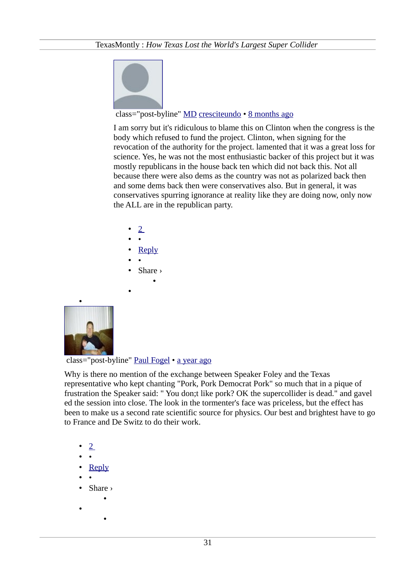

# class="post-byline" [MD](https://disqus.com/by/disqus_Mceqbxq01l/) [cresciteundo](http://www.texasmonthly.com/story/how-texas-lost-worlds-largest-super-collider?fullpage=1#comment-1520343824) • [8 months ago](http://www.texasmonthly.com/story/how-texas-lost-worlds-largest-super-collider?fullpage=1#comment-1522702893)

I am sorry but it's ridiculous to blame this on Clinton when the congress is the body which refused to fund the project. Clinton, when signing for the revocation of the authority for the project. lamented that it was a great loss for science. Yes, he was not the most enthusiastic backer of this project but it was mostly republicans in the house back ten which did not back this. Not all because there were also dems as the country was not as polarized back then and some dems back then were conservatives also. But in general, it was conservatives spurring ignorance at reality like they are doing now, only now the ALL are in the republican party.

- • [2](http://disqus.com/embed/comments/?base=default&version=efc05164bbe607ae229b78a28ef865e3&f=texasmonthly&t_i=node%2F55968&t_u=http%3A%2F%2Fwww.texasmonthly.com%2Fstory%2Fhow-texas-lost-worlds-largest-super-collider&t_e=How%20Texas%20Lost%20the%20World%26%23039%3Bs%20Largest%20Super%20Collider&t_d=How%20Texas%20Lost%20the%20World)
- •
- • [Reply](http://disqus.com/embed/comments/?base=default&version=efc05164bbe607ae229b78a28ef865e3&f=texasmonthly&t_i=node%2F55968&t_u=http%3A%2F%2Fwww.texasmonthly.com%2Fstory%2Fhow-texas-lost-worlds-largest-super-collider&t_e=How%20Texas%20Lost%20the%20World%26%23039%3Bs%20Largest%20Super%20Collider&t_d=How%20Texas%20Lost%20the%20World)
- •
- Share ›

•

•



class="post-byline" [Paul Fogel](https://disqus.com/by/paulfogel/) • [a year ago](http://www.texasmonthly.com/story/how-texas-lost-worlds-largest-super-collider?fullpage=1#comment-1260912130)

Why is there no mention of the exchange between Speaker Foley and the Texas representative who kept chanting "Pork, Pork Democrat Pork" so much that in a pique of frustration the Speaker said: " You don;t like pork? OK the supercollider is dead." and gavel ed the session into close. The look in the tormenter's face was priceless, but the effect has been to make us a second rate scientific source for physics. Our best and brightest have to go to France and De Switz to do their work.

- • [2](http://disqus.com/embed/comments/?base=default&version=efc05164bbe607ae229b78a28ef865e3&f=texasmonthly&t_i=node%2F55968&t_u=http%3A%2F%2Fwww.texasmonthly.com%2Fstory%2Fhow-texas-lost-worlds-largest-super-collider&t_e=How%20Texas%20Lost%20the%20World%26%23039%3Bs%20Largest%20Super%20Collider&t_d=How%20Texas%20Lost%20the%20World)
- •
- • [Reply](http://disqus.com/embed/comments/?base=default&version=efc05164bbe607ae229b78a28ef865e3&f=texasmonthly&t_i=node%2F55968&t_u=http%3A%2F%2Fwww.texasmonthly.com%2Fstory%2Fhow-texas-lost-worlds-largest-super-collider&t_e=How%20Texas%20Lost%20the%20World%26%23039%3Bs%20Largest%20Super%20Collider&t_d=How%20Texas%20Lost%20the%20World)
- •
- Share ›

•

- •
- •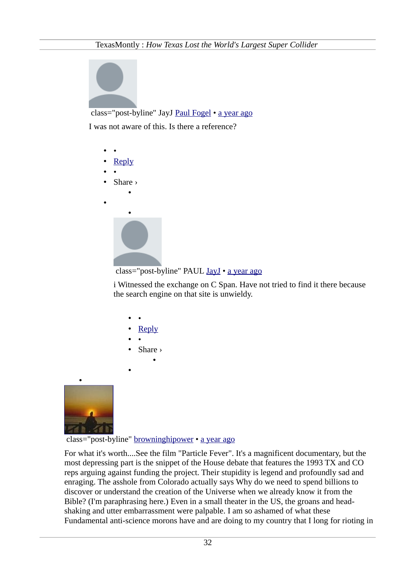

class="post-byline" JayJ [Paul Fogel](http://www.texasmonthly.com/story/how-texas-lost-worlds-largest-super-collider?fullpage=1#comment-1260912130) • [a year ago](http://www.texasmonthly.com/story/how-texas-lost-worlds-largest-super-collider?fullpage=1#comment-1351940456)

I was not aware of this. Is there a reference?

- • • [Reply](http://disqus.com/embed/comments/?base=default&version=efc05164bbe607ae229b78a28ef865e3&f=texasmonthly&t_i=node%2F55968&t_u=http%3A%2F%2Fwww.texasmonthly.com%2Fstory%2Fhow-texas-lost-worlds-largest-super-collider&t_e=How%20Texas%20Lost%20the%20World%26%23039%3Bs%20Largest%20Super%20Collider&t_d=How%20Texas%20Lost%20the%20World) • •
- Share ›
- •





i Witnessed the exchange on C Span. Have not tried to find it there because the search engine on that site is unwieldy.

- •
- • [Reply](http://disqus.com/embed/comments/?base=default&version=efc05164bbe607ae229b78a28ef865e3&f=texasmonthly&t_i=node%2F55968&t_u=http%3A%2F%2Fwww.texasmonthly.com%2Fstory%2Fhow-texas-lost-worlds-largest-super-collider&t_e=How%20Texas%20Lost%20the%20World%26%23039%3Bs%20Largest%20Super%20Collider&t_d=How%20Texas%20Lost%20the%20World)
- •
- Share › •
- 

•



class="post-byline" [browninghipower](https://disqus.com/by/browninghipower/) • [a year ago](http://www.texasmonthly.com/story/how-texas-lost-worlds-largest-super-collider?fullpage=1#comment-1362950242)

For what it's worth....See the film "Particle Fever". It's a magnificent documentary, but the most depressing part is the snippet of the House debate that features the 1993 TX and CO reps arguing against funding the project. Their stupidity is legend and profoundly sad and enraging. The asshole from Colorado actually says Why do we need to spend billions to discover or understand the creation of the Universe when we already know it from the Bible? (I'm paraphrasing here.) Even in a small theater in the US, the groans and headshaking and utter embarrassment were palpable. I am so ashamed of what these Fundamental anti-science morons have and are doing to my country that I long for rioting in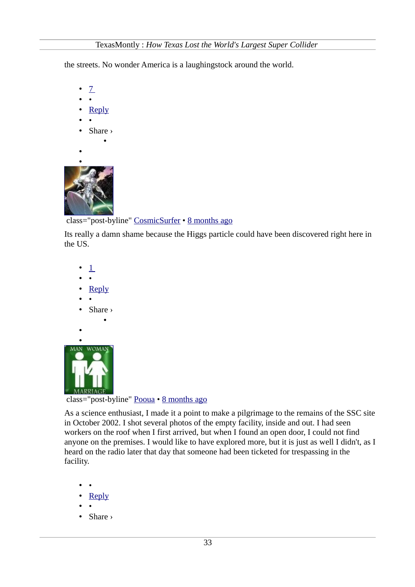the streets. No wonder America is a laughingstock around the world.



- •
- • [Reply](http://disqus.com/embed/comments/?base=default&version=efc05164bbe607ae229b78a28ef865e3&f=texasmonthly&t_i=node%2F55968&t_u=http%3A%2F%2Fwww.texasmonthly.com%2Fstory%2Fhow-texas-lost-worlds-largest-super-collider&t_e=How%20Texas%20Lost%20the%20World%26%23039%3Bs%20Largest%20Super%20Collider&t_d=How%20Texas%20Lost%20the%20World)
- •
- Share ›

•

•



class="post-byline" [CosmicSurfer](https://disqus.com/by/disqus_taPZLDM6vT/) • [8 months ago](http://www.texasmonthly.com/story/how-texas-lost-worlds-largest-super-collider?fullpage=1#comment-1506397739)

Its really a damn shame because the Higgs particle could have been discovered right here in the US.



class="post-byline" [Pooua](https://disqus.com/by/Pooua/) • [8 months ago](http://www.texasmonthly.com/story/how-texas-lost-worlds-largest-super-collider?fullpage=1#comment-1508246643)

As a science enthusiast, I made it a point to make a pilgrimage to the remains of the SSC site in October 2002. I shot several photos of the empty facility, inside and out. I had seen workers on the roof when I first arrived, but when I found an open door, I could not find anyone on the premises. I would like to have explored more, but it is just as well I didn't, as I heard on the radio later that day that someone had been ticketed for trespassing in the facility.

- •
- • [Reply](http://disqus.com/embed/comments/?base=default&version=efc05164bbe607ae229b78a28ef865e3&f=texasmonthly&t_i=node%2F55968&t_u=http%3A%2F%2Fwww.texasmonthly.com%2Fstory%2Fhow-texas-lost-worlds-largest-super-collider&t_e=How%20Texas%20Lost%20the%20World%26%23039%3Bs%20Largest%20Super%20Collider&t_d=How%20Texas%20Lost%20the%20World)
- •
- Share ›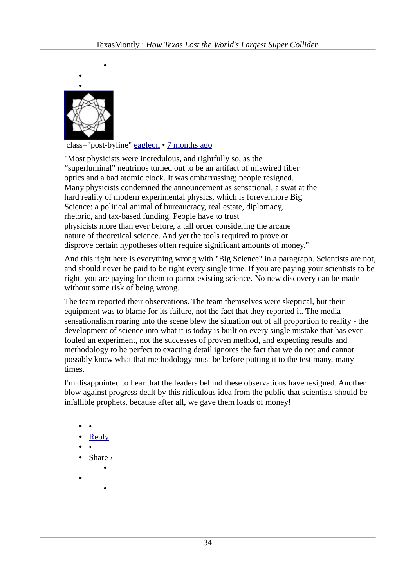

•

class="post-byline" [eagleon](https://disqus.com/by/eagleon/) • [7 months ago](http://www.texasmonthly.com/story/how-texas-lost-worlds-largest-super-collider?fullpage=1#comment-1563899778)

"Most physicists were incredulous, and rightfully so, as the "superluminal" neutrinos turned out to be an artifact of miswired fiber optics and a bad atomic clock. It was embarrassing; people resigned. Many physicists condemned the announcement as sensational, a swat at the hard reality of modern experimental physics, which is forevermore Big Science: a political animal of bureaucracy, real estate, diplomacy, rhetoric, and tax-based funding. People have to trust physicists more than ever before, a tall order considering the arcane nature of theoretical science. And yet the tools required to prove or disprove certain hypotheses often require significant amounts of money."

And this right here is everything wrong with "Big Science" in a paragraph. Scientists are not, and should never be paid to be right every single time. If you are paying your scientists to be right, you are paying for them to parrot existing science. No new discovery can be made without some risk of being wrong.

The team reported their observations. The team themselves were skeptical, but their equipment was to blame for its failure, not the fact that they reported it. The media sensationalism roaring into the scene blew the situation out of all proportion to reality - the development of science into what it is today is built on every single mistake that has ever fouled an experiment, not the successes of proven method, and expecting results and methodology to be perfect to exacting detail ignores the fact that we do not and cannot possibly know what that methodology must be before putting it to the test many, many times.

I'm disappointed to hear that the leaders behind these observations have resigned. Another blow against progress dealt by this ridiculous idea from the public that scientists should be infallible prophets, because after all, we gave them loads of money!

- •
- • [Reply](http://disqus.com/embed/comments/?base=default&version=efc05164bbe607ae229b78a28ef865e3&f=texasmonthly&t_i=node%2F55968&t_u=http%3A%2F%2Fwww.texasmonthly.com%2Fstory%2Fhow-texas-lost-worlds-largest-super-collider&t_e=How%20Texas%20Lost%20the%20World%26%23039%3Bs%20Largest%20Super%20Collider&t_d=How%20Texas%20Lost%20the%20World)
- •
- Share ›

•

•

- 
- •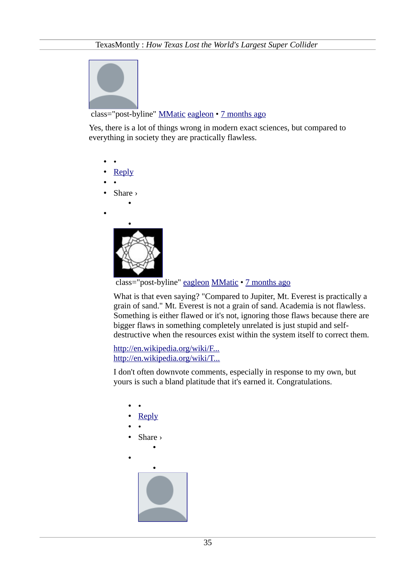

# class="post-byline" [MMatic](https://disqus.com/by/disqus_LdkQfEMi4d/) [eagleon](http://www.texasmonthly.com/story/how-texas-lost-worlds-largest-super-collider?fullpage=1#comment-1563899778) • [7 months ago](http://www.texasmonthly.com/story/how-texas-lost-worlds-largest-super-collider?fullpage=1#comment-1599497512)

Yes, there is a lot of things wrong in modern exact sciences, but compared to everything in society they are practically flawless.

- •
- • [Reply](http://disqus.com/embed/comments/?base=default&version=efc05164bbe607ae229b78a28ef865e3&f=texasmonthly&t_i=node%2F55968&t_u=http%3A%2F%2Fwww.texasmonthly.com%2Fstory%2Fhow-texas-lost-worlds-largest-super-collider&t_e=How%20Texas%20Lost%20the%20World%26%23039%3Bs%20Largest%20Super%20Collider&t_d=How%20Texas%20Lost%20the%20World)
- •
- Share ›

•

•



class="post-byline" [eagleon](https://disqus.com/by/eagleon/) [MMatic](http://www.texasmonthly.com/story/how-texas-lost-worlds-largest-super-collider?fullpage=1#comment-1599497512) • [7 months ago](http://www.texasmonthly.com/story/how-texas-lost-worlds-largest-super-collider?fullpage=1#comment-1603253587)

What is that even saying? "Compared to Jupiter, Mt. Everest is practically a grain of sand." Mt. Everest is not a grain of sand. Academia is not flawless. Something is either flawed or it's not, ignoring those flaws because there are bigger flaws in something completely unrelated is just stupid and selfdestructive when the resources exist within the system itself to correct them.

[http://en.wikipedia.org/wiki/F...](http://en.wikipedia.org/wiki/Fallacy_of_relative_privation) [http://en.wikipedia.org/wiki/T...](http://en.wikipedia.org/wiki/Thought_Reform_and_the_Psychology_of_Totalism#Thought-terminating_clich.C3.A9)

I don't often downvote comments, especially in response to my own, but yours is such a bland platitude that it's earned it. Congratulations.

- •
- • [Reply](http://disqus.com/embed/comments/?base=default&version=efc05164bbe607ae229b78a28ef865e3&f=texasmonthly&t_i=node%2F55968&t_u=http%3A%2F%2Fwww.texasmonthly.com%2Fstory%2Fhow-texas-lost-worlds-largest-super-collider&t_e=How%20Texas%20Lost%20the%20World%26%23039%3Bs%20Largest%20Super%20Collider&t_d=How%20Texas%20Lost%20the%20World)
- •
- Share ›

•

•

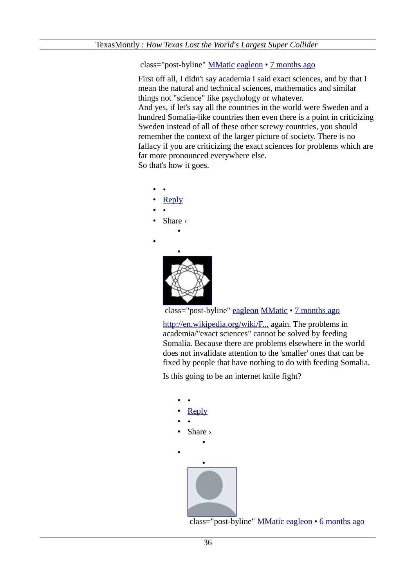### class="post-byline" [MMatic](https://disqus.com/by/disqus_LdkQfEMi4d/) [eagleon](http://www.texasmonthly.com/story/how-texas-lost-worlds-largest-super-collider?fullpage=1#comment-1603253587) • [7 months ago](http://www.texasmonthly.com/story/how-texas-lost-worlds-largest-super-collider?fullpage=1#comment-1604330231)

First off all, I didn't say academia I said exact sciences, and by that I mean the natural and technical sciences, mathematics and similar things not "science" like psychology or whatever. And yes, if let's say all the countries in the world were Sweden and a hundred Somalia-like countries then even there is a point in criticizing Sweden instead of all of these other screwy countries, you should remember the context of the larger picture of society. There is no fallacy if you are criticizing the exact sciences for problems which are far more pronounced everywhere else.

So that's how it goes.

- •
- • [Reply](http://disqus.com/embed/comments/?base=default&version=efc05164bbe607ae229b78a28ef865e3&f=texasmonthly&t_i=node%2F55968&t_u=http%3A%2F%2Fwww.texasmonthly.com%2Fstory%2Fhow-texas-lost-worlds-largest-super-collider&t_e=How%20Texas%20Lost%20the%20World%26%23039%3Bs%20Largest%20Super%20Collider&t_d=How%20Texas%20Lost%20the%20World)
- •
- Share ›

•

•



class="post-byline" [eagleon](https://disqus.com/by/eagleon/) [MMatic](http://www.texasmonthly.com/story/how-texas-lost-worlds-largest-super-collider?fullpage=1#comment-1604330231) • [7 months ago](http://www.texasmonthly.com/story/how-texas-lost-worlds-largest-super-collider?fullpage=1#comment-1604717018)

[http://en.wikipedia.org/wiki/F...](http://en.wikipedia.org/wiki/Fallacy_of_relative_privation) again. The problems in academia/"exact sciences" cannot be solved by feeding Somalia. Because there are problems elsewhere in the world does not invalidate attention to the 'smaller' ones that can be fixed by people that have nothing to do with feeding Somalia.

Is this going to be an internet knife fight?

• • • [Reply](http://disqus.com/embed/comments/?base=default&version=efc05164bbe607ae229b78a28ef865e3&f=texasmonthly&t_i=node%2F55968&t_u=http%3A%2F%2Fwww.texasmonthly.com%2Fstory%2Fhow-texas-lost-worlds-largest-super-collider&t_e=How%20Texas%20Lost%20the%20World%26%23039%3Bs%20Largest%20Super%20Collider&t_d=How%20Texas%20Lost%20the%20World) • • • Share › • • [•](https://disqus.com/by/disqus_LdkQfEMi4d/)

class="post-byline" [MMatic](https://disqus.com/by/disqus_LdkQfEMi4d/) [eagleon](http://www.texasmonthly.com/story/how-texas-lost-worlds-largest-super-collider?fullpage=1#comment-1604717018) • [6 months ago](http://www.texasmonthly.com/story/how-texas-lost-worlds-largest-super-collider?fullpage=1#comment-1611589620)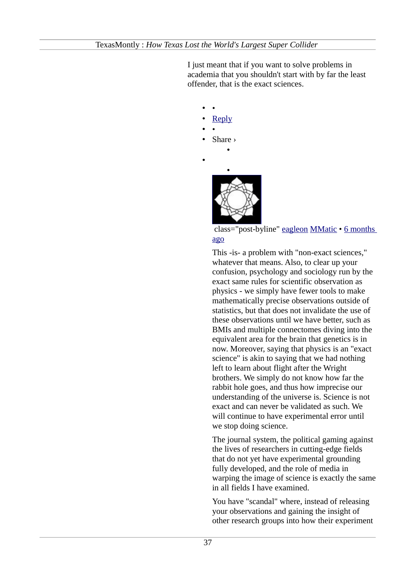I just meant that if you want to solve problems in academia that you shouldn't start with by far the least offender, that is the exact sciences.

### • • • [Reply](http://disqus.com/embed/comments/?base=default&version=efc05164bbe607ae229b78a28ef865e3&f=texasmonthly&t_i=node%2F55968&t_u=http%3A%2F%2Fwww.texasmonthly.com%2Fstory%2Fhow-texas-lost-worlds-largest-super-collider&t_e=How%20Texas%20Lost%20the%20World%26%23039%3Bs%20Largest%20Super%20Collider&t_d=How%20Texas%20Lost%20the%20World) • •

• Share ›

•

•



# class="post-byline" [eagleon](https://disqus.com/by/eagleon/) [MMatic](http://www.texasmonthly.com/story/how-texas-lost-worlds-largest-super-collider?fullpage=1#comment-1611589620) • [6 months](http://www.texasmonthly.com/story/how-texas-lost-worlds-largest-super-collider?fullpage=1#comment-1611754139) [ago](http://www.texasmonthly.com/story/how-texas-lost-worlds-largest-super-collider?fullpage=1#comment-1611754139)

This -is- a problem with "non-exact sciences," whatever that means. Also, to clear up your confusion, psychology and sociology run by the exact same rules for scientific observation as physics - we simply have fewer tools to make mathematically precise observations outside of statistics, but that does not invalidate the use of these observations until we have better, such as BMIs and multiple connectomes diving into the equivalent area for the brain that genetics is in now. Moreover, saying that physics is an "exact science" is akin to saying that we had nothing left to learn about flight after the Wright brothers. We simply do not know how far the rabbit hole goes, and thus how imprecise our understanding of the universe is. Science is not exact and can never be validated as such. We will continue to have experimental error until we stop doing science.

The journal system, the political gaming against the lives of researchers in cutting-edge fields that do not yet have experimental grounding fully developed, and the role of media in warping the image of science is exactly the same in all fields I have examined.

You have "scandal" where, instead of releasing your observations and gaining the insight of other research groups into how their experiment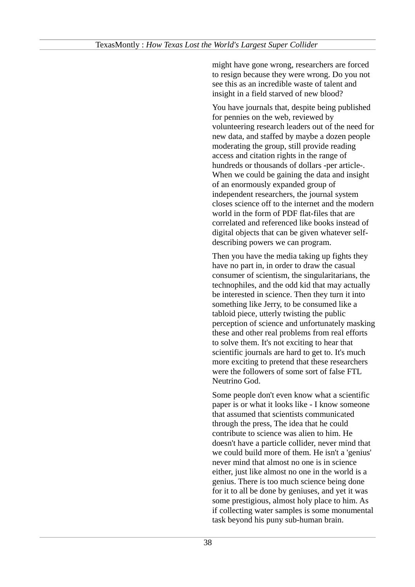might have gone wrong, researchers are forced to resign because they were wrong. Do you not see this as an incredible waste of talent and insight in a field starved of new blood?

You have journals that, despite being published for pennies on the web, reviewed by volunteering research leaders out of the need for new data, and staffed by maybe a dozen people moderating the group, still provide reading access and citation rights in the range of hundreds or thousands of dollars -per article-. When we could be gaining the data and insight of an enormously expanded group of independent researchers, the journal system closes science off to the internet and the modern world in the form of PDF flat-files that are correlated and referenced like books instead of digital objects that can be given whatever selfdescribing powers we can program.

Then you have the media taking up fights they have no part in, in order to draw the casual consumer of scientism, the singularitarians, the technophiles, and the odd kid that may actually be interested in science. Then they turn it into something like Jerry, to be consumed like a tabloid piece, utterly twisting the public perception of science and unfortunately masking these and other real problems from real efforts to solve them. It's not exciting to hear that scientific journals are hard to get to. It's much more exciting to pretend that these researchers were the followers of some sort of false FTL Neutrino God.

Some people don't even know what a scientific paper is or what it looks like - I know someone that assumed that scientists communicated through the press, The idea that he could contribute to science was alien to him. He doesn't have a particle collider, never mind that we could build more of them. He isn't a 'genius' never mind that almost no one is in science either, just like almost no one in the world is a genius. There is too much science being done for it to all be done by geniuses, and yet it was some prestigious, almost holy place to him. As if collecting water samples is some monumental task beyond his puny sub-human brain.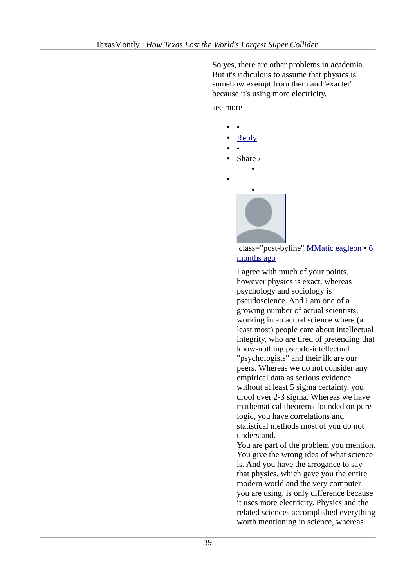So yes, there are other problems in academia. But it's ridiculous to assume that physics is somehow exempt from them and 'exacter' because it's using more electricity.

see more

•

• • **Reply** • • • Share › • •

> class="post-byline" [MMatic](https://disqus.com/by/disqus_LdkQfEMi4d/) [eagleon](http://www.texasmonthly.com/story/how-texas-lost-worlds-largest-super-collider?fullpage=1#comment-1611754139) • [6](http://www.texasmonthly.com/story/how-texas-lost-worlds-largest-super-collider?fullpage=1#comment-1613924302) [months ago](http://www.texasmonthly.com/story/how-texas-lost-worlds-largest-super-collider?fullpage=1#comment-1613924302)

> I agree with much of your points, however physics is exact, whereas psychology and sociology is pseudoscience. And I am one of a growing number of actual scientists, working in an actual science where (at least most) people care about intellectual integrity, who are tired of pretending that know-nothing pseudo-intellectual "psychologists" and their ilk are our peers. Whereas we do not consider any empirical data as serious evidence without at least 5 sigma certainty, you drool over 2-3 sigma. Whereas we have mathematical theorems founded on pure logic, you have correlations and statistical methods most of you do not understand.

> You are part of the problem you mention. You give the wrong idea of what science is. And you have the arrogance to say that physics, which gave you the entire modern world and the very computer you are using, is only difference because it uses more electricity. Physics and the related sciences accomplished everything worth mentioning in science, whereas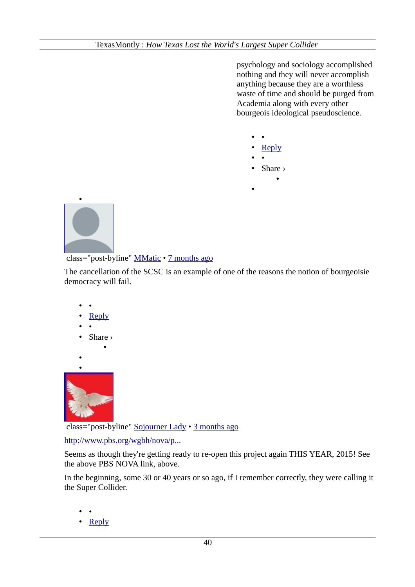psychology and sociology accomplished nothing and they will never accomplish anything because they are a worthless waste of time and should be purged from Academia along with every other bourgeois ideological pseudoscience.

- •
- • [Reply](http://disqus.com/embed/comments/?base=default&version=efc05164bbe607ae229b78a28ef865e3&f=texasmonthly&t_i=node%2F55968&t_u=http%3A%2F%2Fwww.texasmonthly.com%2Fstory%2Fhow-texas-lost-worlds-largest-super-collider&t_e=How%20Texas%20Lost%20the%20World%26%23039%3Bs%20Largest%20Super%20Collider&t_d=How%20Texas%20Lost%20the%20World)
- •

•

• Share ›

•



class="post-byline" [MMatic](https://disqus.com/by/disqus_LdkQfEMi4d/) • [7 months ago](http://www.texasmonthly.com/story/how-texas-lost-worlds-largest-super-collider?fullpage=1#comment-1599500814)

The cancellation of the SCSC is an example of one of the reasons the notion of bourgeoisie democracy will fail.

- •
- • [Reply](http://disqus.com/embed/comments/?base=default&version=efc05164bbe607ae229b78a28ef865e3&f=texasmonthly&t_i=node%2F55968&t_u=http%3A%2F%2Fwww.texasmonthly.com%2Fstory%2Fhow-texas-lost-worlds-largest-super-collider&t_e=How%20Texas%20Lost%20the%20World%26%23039%3Bs%20Largest%20Super%20Collider&t_d=How%20Texas%20Lost%20the%20World)
- •
- Share ›

•

•



class="post-byline" [Sojourner Lady](https://disqus.com/by/SojournerLady/) • [3 months ago](http://www.texasmonthly.com/story/how-texas-lost-worlds-largest-super-collider?fullpage=1#comment-1803519814)

[http://www.pbs.org/wgbh/nova/p...](http://www.pbs.org/wgbh/nova/physics/big-bang-machine.html)

Seems as though they're getting ready to re-open this project again THIS YEAR, 2015! See the above PBS NOVA link, above.

In the beginning, some 30 or 40 years or so ago, if I remember correctly, they were calling it the Super Collider.

- •
- • [Reply](http://disqus.com/embed/comments/?base=default&version=efc05164bbe607ae229b78a28ef865e3&f=texasmonthly&t_i=node%2F55968&t_u=http%3A%2F%2Fwww.texasmonthly.com%2Fstory%2Fhow-texas-lost-worlds-largest-super-collider&t_e=How%20Texas%20Lost%20the%20World%26%23039%3Bs%20Largest%20Super%20Collider&t_d=How%20Texas%20Lost%20the%20World)